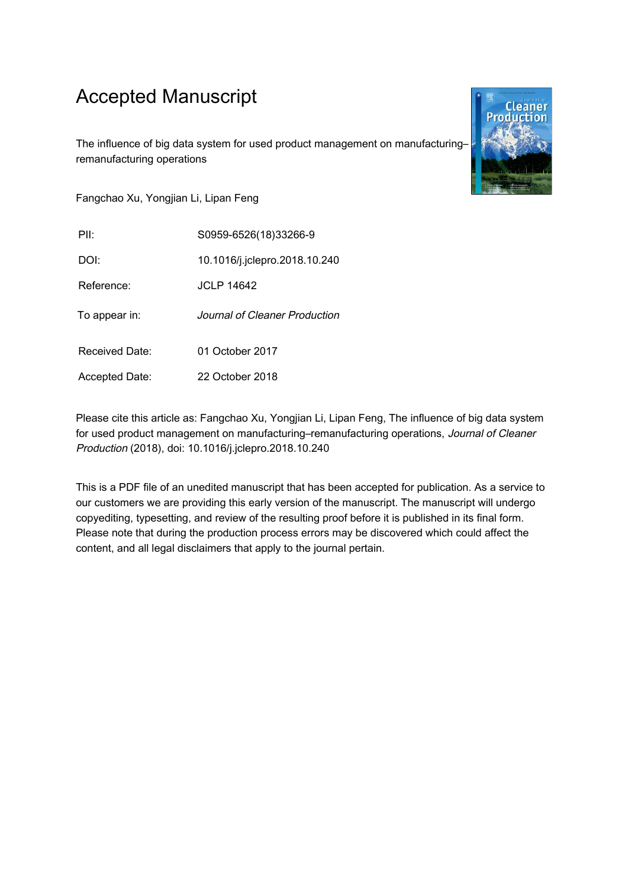# Accepted Manuscript

The influence of big data system for used product management on manufacturing– remanufacturing operations

Fangchao Xu, Yongjian Li, Lipan Feng

PII: S0959-6526(18)33266-9

DOI: 10.1016/j.jclepro.2018.10.240

Reference: **JCLP** 14642

To appear in: Journal of Cleaner Production

Received Date: 01 October 2017

Accepted Date: 22 October 2018

Please cite this article as: Fangchao Xu, Yongjian Li, Lipan Feng, The influence of big data system for used product management on manufacturing–remanufacturing operations, Journal of Cleaner Production (2018), doi: 10.1016/j.jclepro.2018.10.240

This is a PDF file of an unedited manuscript that has been accepted for publication. As a service to our customers we are providing this early version of the manuscript. The manuscript will undergo copyediting, typesetting, and review of the resulting proof before it is published in its final form. Please note that during the production process errors may be discovered which could affect the content, and all legal disclaimers that apply to the journal pertain.

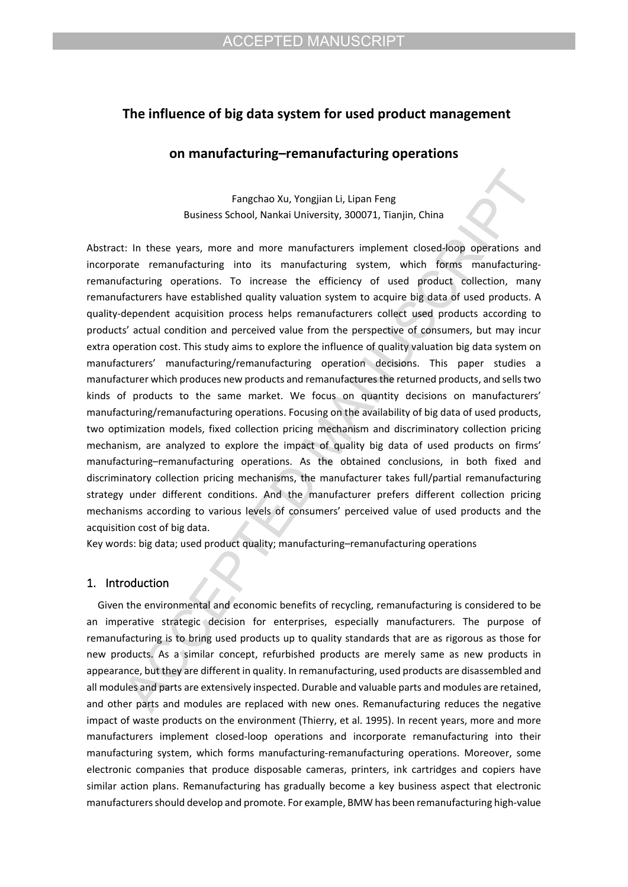# **The influence of big data system for used product management**

# **on manufacturing–remanufacturing operations**

Fangchao Xu, Yongjian Li, Lipan Feng Business School, Nankai University, 300071, Tianjin, China

Abstract: In these years, more and more manufacturers implement closed-loop operations and incorporate remanufacturing into its manufacturing system, which forms manufacturingremanufacturing operations. To increase the efficiency of used product collection, many remanufacturers have established quality valuation system to acquire big data of used products. A quality-dependent acquisition process helps remanufacturers collect used products according to products' actual condition and perceived value from the perspective of consumers, but may incur extra operation cost. This study aims to explore the influence of quality valuation big data system on manufacturers' manufacturing/remanufacturing operation decisions. This paper studies a manufacturer which produces new products and remanufactures the returned products, and sells two kinds of products to the same market. We focus on quantity decisions on manufacturers' manufacturing/remanufacturing operations. Focusing on the availability of big data of used products, two optimization models, fixed collection pricing mechanism and discriminatory collection pricing mechanism, are analyzed to explore the impact of quality big data of used products on firms' manufacturing–remanufacturing operations. As the obtained conclusions, in both fixed and discriminatory collection pricing mechanisms, the manufacturer takes full/partial remanufacturing strategy under different conditions. And the manufacturer prefers different collection pricing mechanisms according to various levels of consumers' perceived value of used products and the acquisition cost of big data.

Key words: big data; used product quality; manufacturing–remanufacturing operations

# **1. Introduction**

Given the environmental and economic benefits of recycling, remanufacturing is considered to be an imperative strategic decision for enterprises, especially manufacturers. The purpose of remanufacturing is to bring used products up to quality standards that are as rigorous as those for new products. As a similar concept, refurbished products are merely same as new products in appearance, but they are different in quality. In remanufacturing, used products are disassembled and all modules and parts are extensively inspected. Durable and valuable parts and modules are retained, and other parts and modules are replaced with new ones. Remanufacturing reduces the negative impact of waste products on the environment (Thierry, et al. 1995). In recent years, more and more manufacturers implement closed-loop operations and incorporate remanufacturing into their manufacturing system, which forms manufacturing-remanufacturing operations. Moreover, some electronic companies that produce disposable cameras, printers, ink cartridges and copiers have similar action plans. Remanufacturing has gradually become a key business aspect that electronic manufacturers should develop and promote. For example, BMW has been remanufacturing high-value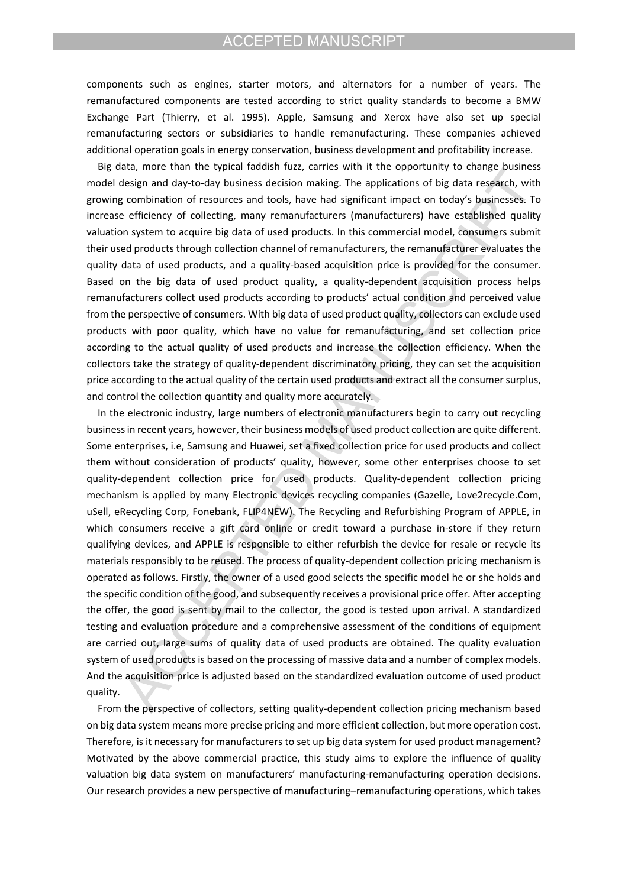components such as engines, starter motors, and alternators for a number of years. The remanufactured components are tested according to strict quality standards to become a BMW Exchange Part (Thierry, et al. 1995). Apple, Samsung and Xerox have also set up special remanufacturing sectors or subsidiaries to handle remanufacturing. These companies achieved additional operation goals in energy conservation, business development and profitability increase.

Big data, more than the typical faddish fuzz, carries with it the opportunity to change business model design and day-to-day business decision making. The applications of big data research, with growing combination of resources and tools, have had significant impact on today's businesses. To increase efficiency of collecting, many remanufacturers (manufacturers) have established quality valuation system to acquire big data of used products. In this commercial model, consumers submit their used products through collection channel of remanufacturers, the remanufacturer evaluates the quality data of used products, and a quality-based acquisition price is provided for the consumer. Based on the big data of used product quality, a quality-dependent acquisition process helps remanufacturers collect used products according to products' actual condition and perceived value from the perspective of consumers. With big data of used product quality, collectors can exclude used products with poor quality, which have no value for remanufacturing, and set collection price according to the actual quality of used products and increase the collection efficiency. When the collectors take the strategy of quality-dependent discriminatory pricing, they can set the acquisition price according to the actual quality of the certain used products and extract all the consumer surplus, and control the collection quantity and quality more accurately.

In the electronic industry, large numbers of electronic manufacturers begin to carry out recycling business in recent years, however, their business models of used product collection are quite different. Some enterprises, i.e, Samsung and Huawei, set a fixed collection price for used products and collect them without consideration of products' quality, however, some other enterprises choose to set quality-dependent collection price for used products. Quality-dependent collection pricing mechanism is applied by many Electronic devices recycling companies (Gazelle, Love2recycle.Com, uSell, eRecycling Corp, Fonebank, FLIP4NEW). The Recycling and Refurbishing Program of APPLE, in which consumers receive a gift card online or credit toward a purchase in-store if they return qualifying devices, and APPLE is responsible to either refurbish the device for resale or recycle its materials responsibly to be reused. The process of quality-dependent collection pricing mechanism is operated as follows. Firstly, the owner of a used good selects the specific model he or she holds and the specific condition of the good, and subsequently receives a provisional price offer. After accepting the offer, the good is sent by mail to the collector, the good is tested upon arrival. A standardized testing and evaluation procedure and a comprehensive assessment of the conditions of equipment are carried out, large sums of quality data of used products are obtained. The quality evaluation system of used products is based on the processing of massive data and a number of complex models. And the acquisition price is adjusted based on the standardized evaluation outcome of used product quality.

From the perspective of collectors, setting quality-dependent collection pricing mechanism based on big data system means more precise pricing and more efficient collection, but more operation cost. Therefore, is it necessary for manufacturers to set up big data system for used product management? Motivated by the above commercial practice, this study aims to explore the influence of quality valuation big data system on manufacturers' manufacturing-remanufacturing operation decisions. Our research provides a new perspective of manufacturing–remanufacturing operations, which takes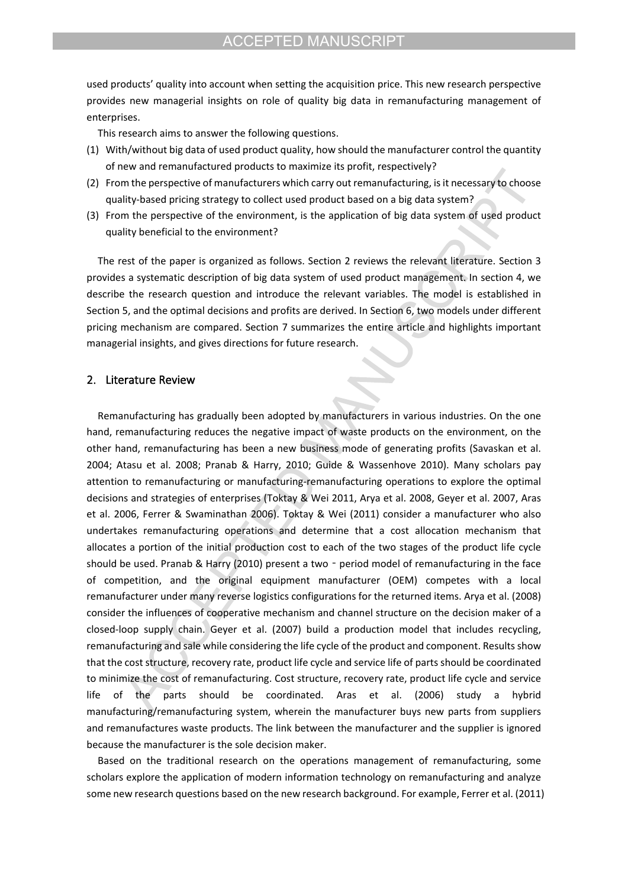used products' quality into account when setting the acquisition price. This new research perspective provides new managerial insights on role of quality big data in remanufacturing management of enterprises.

This research aims to answer the following questions.

- (1) With/without big data of used product quality, how should the manufacturer control the quantity of new and remanufactured products to maximize its profit, respectively?
- (2) From the perspective of manufacturers which carry out remanufacturing, is it necessary to choose quality-based pricing strategy to collect used product based on a big data system?
- (3) From the perspective of the environment, is the application of big data system of used product quality beneficial to the environment?

The rest of the paper is organized as follows. Section 2 reviews the relevant literature. Section 3 provides a systematic description of big data system of used product management. In section 4, we describe the research question and introduce the relevant variables. The model is established in Section 5, and the optimal decisions and profits are derived. In Section 6, two models under different pricing mechanism are compared. Section 7 summarizes the entire article and highlights important managerial insights, and gives directions for future research.

# **2. Literature Review**

Remanufacturing has gradually been adopted by manufacturers in various industries. On the one hand, remanufacturing reduces the negative impact of waste products on the environment, on the other hand, remanufacturing has been a new business mode of generating profits (Savaskan et al. 2004; Atasu et al. 2008; Pranab & Harry, 2010; Guide & Wassenhove 2010). Many scholars pay attention to remanufacturing or manufacturing-remanufacturing operations to explore the optimal decisions and strategies of enterprises (Toktay & Wei 2011, Arya et al. 2008, Geyer et al. 2007, Aras et al. 2006, Ferrer & Swaminathan 2006). Toktay & Wei (2011) consider a manufacturer who also undertakes remanufacturing operations and determine that a cost allocation mechanism that allocates a portion of the initial production cost to each of the two stages of the product life cycle should be used. Pranab & Harry (2010) present a two - period model of remanufacturing in the face of competition, and the original equipment manufacturer (OEM) competes with a local remanufacturer under many reverse logistics configurations for the returned items. Arya et al. (2008) consider the influences of cooperative mechanism and channel structure on the decision maker of a closed-loop supply chain. Geyer et al. (2007) build a production model that includes recycling, remanufacturing and sale while considering the life cycle of the product and component. Results show that the cost structure, recovery rate, product life cycle and service life of parts should be coordinated to minimize the cost of remanufacturing. Cost structure, recovery rate, product life cycle and service life of the parts should be coordinated. Aras et al. (2006) study a hybrid manufacturing/remanufacturing system, wherein the manufacturer buys new parts from suppliers and remanufactures waste products. The link between the manufacturer and the supplier is ignored because the manufacturer is the sole decision maker.

Based on the traditional research on the operations management of remanufacturing, some scholars explore the application of modern information technology on remanufacturing and analyze some new research questions based on the new research background. For example, Ferrer et al. (2011)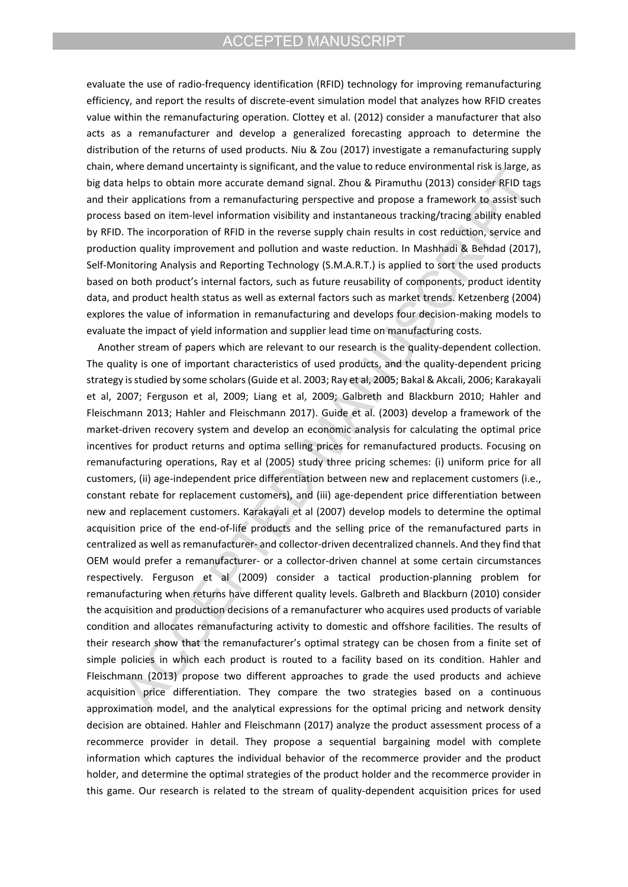evaluate the use of radio-frequency identification (RFID) technology for improving remanufacturing efficiency, and report the results of discrete-event simulation model that analyzes how RFID creates value within the remanufacturing operation. Clottey et al. (2012) consider a manufacturer that also acts as a remanufacturer and develop a generalized forecasting approach to determine the distribution of the returns of used products. Niu & Zou (2017) investigate a remanufacturing supply chain, where demand uncertainty is significant, and the value to reduce environmental risk is large, as big data helps to obtain more accurate demand signal. Zhou & Piramuthu (2013) consider RFID tags and their applications from a remanufacturing perspective and propose a framework to assist such process based on item-level information visibility and instantaneous tracking/tracing ability enabled by RFID. The incorporation of RFID in the reverse supply chain results in cost reduction, service and production quality improvement and pollution and waste reduction. In Mashhadi & Behdad (2017), Self-Monitoring Analysis and Reporting Technology (S.M.A.R.T.) is applied to sort the used products based on both product's internal factors, such as future reusability of components, product identity data, and product health status as well as external factors such as market trends. Ketzenberg (2004) explores the value of information in remanufacturing and develops four decision-making models to evaluate the impact of yield information and supplier lead time on manufacturing costs.

Another stream of papers which are relevant to our research is the quality-dependent collection. The quality is one of important characteristics of used products, and the quality-dependent pricing strategy is studied by some scholars (Guide et al. 2003; Ray et al, 2005; Bakal & Akcali, 2006; Karakayali et al, 2007; Ferguson et al, 2009; Liang et al, 2009; Galbreth and Blackburn 2010; Hahler and Fleischmann 2013; Hahler and Fleischmann 2017). Guide et al. (2003) develop a framework of the market-driven recovery system and develop an economic analysis for calculating the optimal price incentives for product returns and optima selling prices for remanufactured products. Focusing on remanufacturing operations, Ray et al (2005) study three pricing schemes: (i) uniform price for all customers, (ii) age-independent price differentiation between new and replacement customers (i.e., constant rebate for replacement customers), and (iii) age-dependent price differentiation between new and replacement customers. Karakayali et al (2007) develop models to determine the optimal acquisition price of the end-of-life products and the selling price of the remanufactured parts in centralized as well as remanufacturer- and collector-driven decentralized channels. And they find that OEM would prefer a remanufacturer- or a collector-driven channel at some certain circumstances respectively. Ferguson et al (2009) consider a tactical production-planning problem for remanufacturing when returns have different quality levels. Galbreth and Blackburn (2010) consider the acquisition and production decisions of a remanufacturer who acquires used products of variable condition and allocates remanufacturing activity to domestic and offshore facilities. The results of their research show that the remanufacturer's optimal strategy can be chosen from a finite set of simple policies in which each product is routed to a facility based on its condition. Hahler and Fleischmann (2013) propose two different approaches to grade the used products and achieve acquisition price differentiation. They compare the two strategies based on a continuous approximation model, and the analytical expressions for the optimal pricing and network density decision are obtained. Hahler and Fleischmann (2017) analyze the product assessment process of a recommerce provider in detail. They propose a sequential bargaining model with complete information which captures the individual behavior of the recommerce provider and the product holder, and determine the optimal strategies of the product holder and the recommerce provider in this game. Our research is related to the stream of quality-dependent acquisition prices for used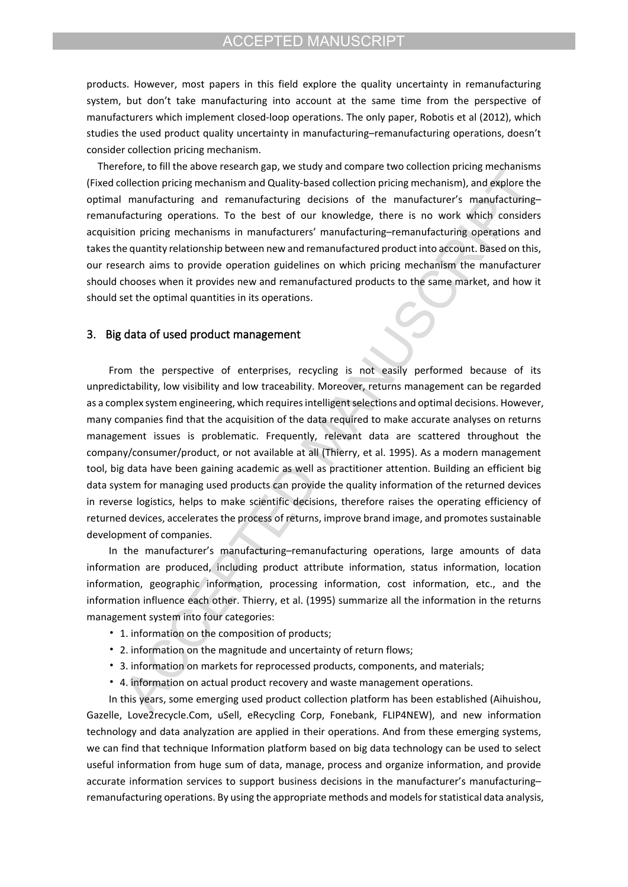products. However, most papers in this field explore the quality uncertainty in remanufacturing system, but don't take manufacturing into account at the same time from the perspective of manufacturers which implement closed-loop operations. The only paper, Robotis et al (2012), which studies the used product quality uncertainty in manufacturing–remanufacturing operations, doesn't consider collection pricing mechanism.

Therefore, to fill the above research gap, we study and compare two collection pricing mechanisms (Fixed collection pricing mechanism and Quality-based collection pricing mechanism), and explore the optimal manufacturing and remanufacturing decisions of the manufacturer's manufacturing– remanufacturing operations. To the best of our knowledge, there is no work which considers acquisition pricing mechanisms in manufacturers' manufacturing–remanufacturing operations and takes the quantity relationship between new and remanufactured product into account. Based on this, our research aims to provide operation guidelines on which pricing mechanism the manufacturer should chooses when it provides new and remanufactured products to the same market, and how it should set the optimal quantities in its operations.

### **3. Big data of used product management**

From the perspective of enterprises, recycling is not easily performed because of its unpredictability, low visibility and low traceability. Moreover, returns management can be regarded as a complex system engineering, which requires intelligent selections and optimal decisions. However, many companies find that the acquisition of the data required to make accurate analyses on returns management issues is problematic. Frequently, relevant data are scattered throughout the company/consumer/product, or not available at all (Thierry, et al. 1995). As a modern management tool, big data have been gaining academic as well as practitioner attention. Building an efficient big data system for managing used products can provide the quality information of the returned devices in reverse logistics, helps to make scientific decisions, therefore raises the operating efficiency of returned devices, accelerates the process of returns, improve brand image, and promotes sustainable development of companies.

In the manufacturer's manufacturing–remanufacturing operations, large amounts of data information are produced, including product attribute information, status information, location information, geographic information, processing information, cost information, etc., and the information influence each other. Thierry, et al. (1995) summarize all the information in the returns management system into four categories:

- 1. information on the composition of products;
- 2. information on the magnitude and uncertainty of return flows;
- 3. information on markets for reprocessed products, components, and materials;
- 4. information on actual product recovery and waste management operations.

In this years, some emerging used product collection platform has been established (Aihuishou, Gazelle, Love2recycle.Com, uSell, eRecycling Corp, Fonebank, FLIP4NEW), and new information technology and data analyzation are applied in their operations. And from these emerging systems, we can find that technique Information platform based on big data technology can be used to select useful information from huge sum of data, manage, process and organize information, and provide accurate information services to support business decisions in the manufacturer's manufacturing– remanufacturing operations. By using the appropriate methods and models for statistical data analysis,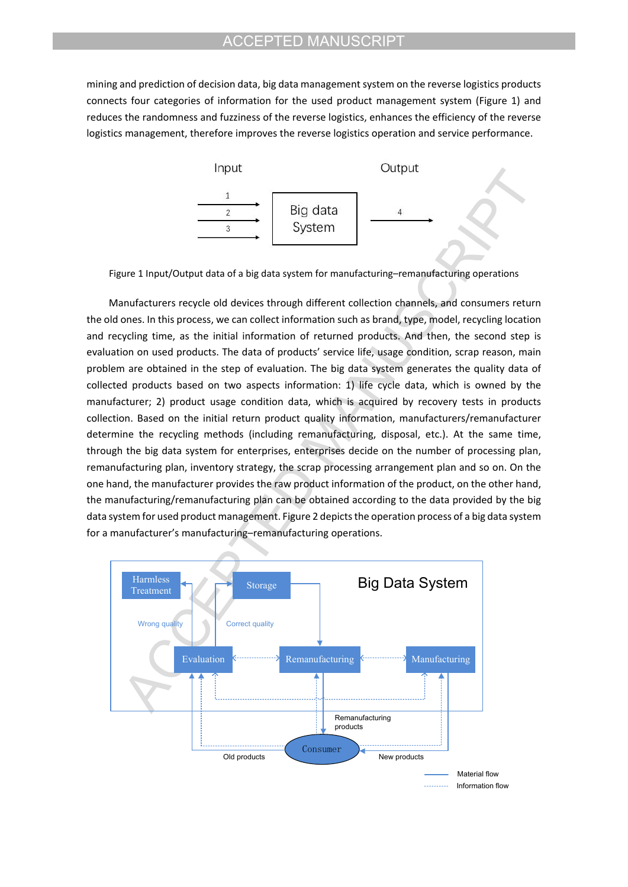mining and prediction of decision data, big data management system on the reverse logistics products connects four categories of information for the used product management system (Figure 1) and reduces the randomness and fuzziness of the reverse logistics, enhances the efficiency of the reverse logistics management, therefore improves the reverse logistics operation and service performance.



Figure 1 Input/Output data of a big data system for manufacturing–remanufacturing operations

Manufacturers recycle old devices through different collection channels, and consumers return the old ones. In this process, we can collect information such as brand, type, model, recycling location and recycling time, as the initial information of returned products. And then, the second step is evaluation on used products. The data of products' service life, usage condition, scrap reason, main problem are obtained in the step of evaluation. The big data system generates the quality data of collected products based on two aspects information: 1) life cycle data, which is owned by the manufacturer; 2) product usage condition data, which is acquired by recovery tests in products collection. Based on the initial return product quality information, manufacturers/remanufacturer determine the recycling methods (including remanufacturing, disposal, etc.). At the same time, through the big data system for enterprises, enterprises decide on the number of processing plan, remanufacturing plan, inventory strategy, the scrap processing arrangement plan and so on. On the one hand, the manufacturer provides the raw product information of the product, on the other hand, the manufacturing/remanufacturing plan can be obtained according to the data provided by the big data system for used product management. Figure 2 depicts the operation process of a big data system for a manufacturer's manufacturing–remanufacturing operations.

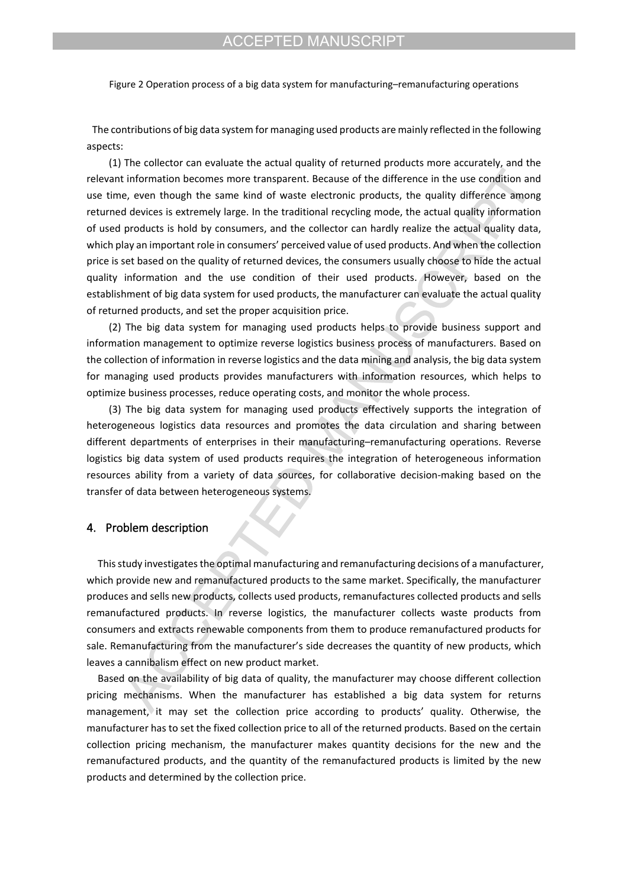Figure 2 Operation process of a big data system for manufacturing–remanufacturing operations

 The contributions of big data system for managing used products are mainly reflected in the following aspects:

(1) The collector can evaluate the actual quality of returned products more accurately, and the relevant information becomes more transparent. Because of the difference in the use condition and use time, even though the same kind of waste electronic products, the quality difference among returned devices is extremely large. In the traditional recycling mode, the actual quality information of used products is hold by consumers, and the collector can hardly realize the actual quality data, which play an important role in consumers' perceived value of used products. And when the collection price is set based on the quality of returned devices, the consumers usually choose to hide the actual quality information and the use condition of their used products. However, based on the establishment of big data system for used products, the manufacturer can evaluate the actual quality of returned products, and set the proper acquisition price.

(2) The big data system for managing used products helps to provide business support and information management to optimize reverse logistics business process of manufacturers. Based on the collection of information in reverse logistics and the data mining and analysis, the big data system for managing used products provides manufacturers with information resources, which helps to optimize business processes, reduce operating costs, and monitor the whole process.

(3) The big data system for managing used products effectively supports the integration of heterogeneous logistics data resources and promotes the data circulation and sharing between different departments of enterprises in their manufacturing–remanufacturing operations. Reverse logistics big data system of used products requires the integration of heterogeneous information resources ability from a variety of data sources, for collaborative decision-making based on the transfer of data between heterogeneous systems.

### **4. Problem description**

This study investigates the optimal manufacturing and remanufacturing decisions of a manufacturer, which provide new and remanufactured products to the same market. Specifically, the manufacturer produces and sells new products, collects used products, remanufactures collected products and sells remanufactured products. In reverse logistics, the manufacturer collects waste products from consumers and extracts renewable components from them to produce remanufactured products for sale. Remanufacturing from the manufacturer's side decreases the quantity of new products, which leaves a cannibalism effect on new product market.

Based on the availability of big data of quality, the manufacturer may choose different collection pricing mechanisms. When the manufacturer has established a big data system for returns management, it may set the collection price according to products' quality. Otherwise, the manufacturer has to set the fixed collection price to all of the returned products. Based on the certain collection pricing mechanism, the manufacturer makes quantity decisions for the new and the remanufactured products, and the quantity of the remanufactured products is limited by the new products and determined by the collection price.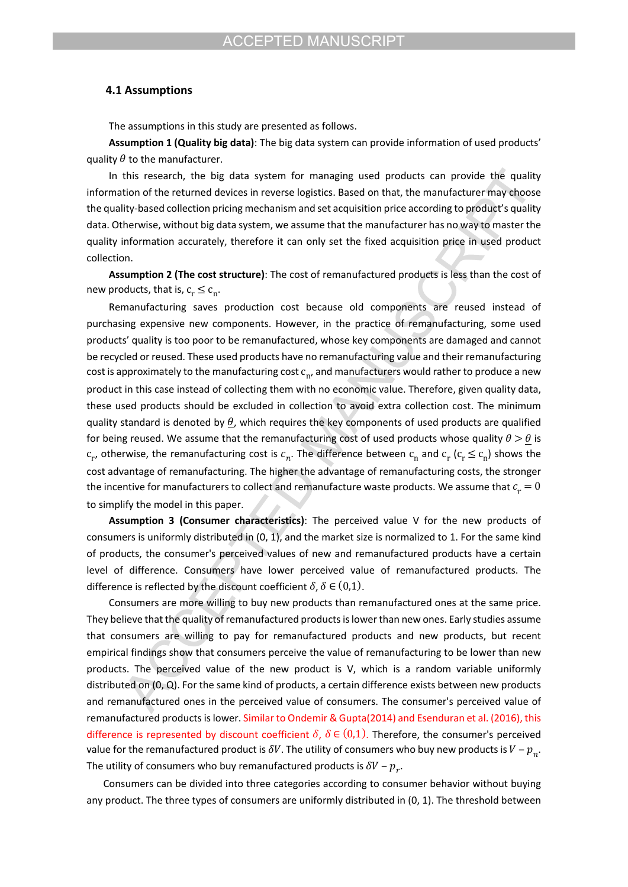### **4.1 Assumptions**

The assumptions in this study are presented as follows.

**Assumption 1 (Quality big data)**: The big data system can provide information of used products' quality  $\theta$  to the manufacturer.

In this research, the big data system for managing used products can provide the quality information of the returned devices in reverse logistics. Based on that, the manufacturer may choose the quality-based collection pricing mechanism and set acquisition price according to product's quality data. Otherwise, without big data system, we assume that the manufacturer has no way to master the quality information accurately, therefore it can only set the fixed acquisition price in used product collection.

**Assumption 2 (The cost structure)**: The cost of remanufactured products is less than the cost of new products, that is,  $c_r \leq c_n$ .

Remanufacturing saves production cost because old components are reused instead of purchasing expensive new components. However, in the practice of remanufacturing, some used products' quality is too poor to be remanufactured, whose key components are damaged and cannot be recycled or reused. These used products have no remanufacturing value and their remanufacturing cost is approximately to the manufacturing cost  $c_n$ , and manufacturers would rather to produce a new product in this case instead of collecting them with no economic value. Therefore, given quality data, these used products should be excluded in collection to avoid extra collection cost. The minimum quality standard is denoted by  $\theta$ , which requires the key components of used products are qualified for being reused. We assume that the remanufacturing cost of used products whose quality  $\theta > \theta$  is  $c_r$ , otherwise, the remanufacturing cost is  $c_n$ . The difference between  $c_n$  and  $c_r$  ( $c_r \leq c_n$ ) shows the cost advantage of remanufacturing. The higher the advantage of remanufacturing costs, the stronger the incentive for manufacturers to collect and remanufacture waste products. We assume that  $c_r = 0$ to simplify the model in this paper.

**Assumption 3 (Consumer characteristics)**: The perceived value V for the new products of consumers is uniformly distributed in (0, 1), and the market size is normalized to 1. For the same kind of products, the consumer's perceived values of new and remanufactured products have a certain level of difference. Consumers have lower perceived value of remanufactured products. The difference is reflected by the discount coefficient  $\delta$ ,  $\delta \in (0,1)$ .

Consumers are more willing to buy new products than remanufactured ones at the same price. They believe that the quality of remanufactured products is lower than new ones. Early studies assume that consumers are willing to pay for remanufactured products and new products, but recent empirical findings show that consumers perceive the value of remanufacturing to be lower than new products. The perceived value of the new product is V, which is a random variable uniformly distributed on (0, Q). For the same kind of products, a certain difference exists between new products and remanufactured ones in the perceived value of consumers. The consumer's perceived value of remanufactured products is lower. Similar to Ondemir & Gupta(2014) and Esenduran et al. (2016), this difference is represented by discount coefficient  $\delta$ ,  $\delta \in (0,1)$ . Therefore, the consumer's perceived value for the remanufactured product is  $\delta V$ . The utility of consumers who buy new products is  $V - p_{n}$ . The utility of consumers who buy remanufactured products is  $\delta V - p_{\gamma}$ .

 Consumers can be divided into three categories according to consumer behavior without buying any product. The three types of consumers are uniformly distributed in (0, 1). The threshold between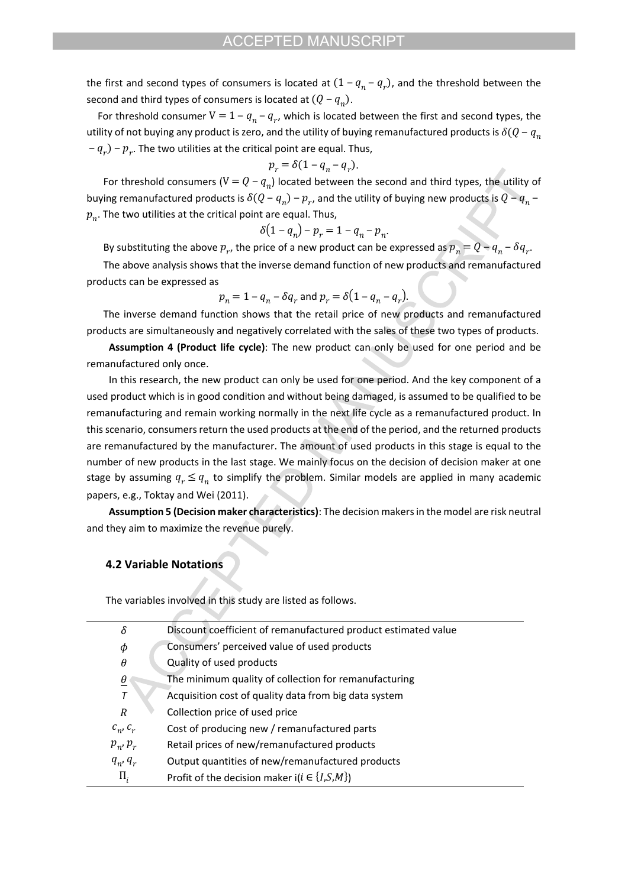the first and second types of consumers is located at  $(1 - q_n - q_r)$ , and the threshold between the second and third types of consumers is located at  $(Q - q_n)$ .

For threshold consumer  $V = 1 - q_n - q_r$ , which is located between the first and second types, the utility of not buying any product is zero, and the utility of buying remanufactured products is  $\delta(Q - q_n)$  $- q_{r}$ )  $- p_{r}$ . The two utilities at the critical point are equal. Thus,

$$
p_r = \delta(1 - q_n - q_r).
$$

For threshold consumers ( $V = Q - q_n$ ) located between the second and third types, the utility of buying remanufactured products is  $\delta (Q - q_n) - p_{r}$ , and the utility of buying new products is  $Q - q_n$  –  $p_n$ . The two utilities at the critical point are equal. Thus,

$$
\delta(1 - q_n) - p_r = 1 - q_n - p_n.
$$

By substituting the above  $p_r$ , the price of a new product can be expressed as  $p_n = Q - q_n - \delta q_r$ .

 The above analysis shows that the inverse demand function of new products and remanufactured products can be expressed as

$$
p_n = 1 - q_n - \delta q_r \text{ and } p_r = \delta \left( 1 - q_n - q_r \right).
$$

The inverse demand function shows that the retail price of new products and remanufactured products are simultaneously and negatively correlated with the sales of these two types of products.

**Assumption 4 (Product life cycle)**: The new product can only be used for one period and be remanufactured only once.

In this research, the new product can only be used for one period. And the key component of a used product which is in good condition and without being damaged, is assumed to be qualified to be remanufacturing and remain working normally in the next life cycle as a remanufactured product. In this scenario, consumers return the used products at the end of the period, and the returned products are remanufactured by the manufacturer. The amount of used products in this stage is equal to the number of new products in the last stage. We mainly focus on the decision of decision maker at one stage by assuming  $q_r \leq q_n$  to simplify the problem. Similar models are applied in many academic papers, e.g., Toktay and Wei (2011).

**Assumption 5 (Decision maker characteristics)**: The decision makers in the model are risk neutral and they aim to maximize the revenue purely.

### **4.2 Variable Notations**

The variables involved in this study are listed as follows.

| $\delta$             | Discount coefficient of remanufactured product estimated value |
|----------------------|----------------------------------------------------------------|
| $\phi$               | Consumers' perceived value of used products                    |
| $\theta$             | Quality of used products                                       |
| $\underline{\theta}$ | The minimum quality of collection for remanufacturing          |
| $\overline{T}$       | Acquisition cost of quality data from big data system          |
| R                    | Collection price of used price                                 |
| $c_n$ , $c_r$        | Cost of producing new / remanufactured parts                   |
| $p_n$ , $p_r$        | Retail prices of new/remanufactured products                   |
| $q_n$ , $q_r$        | Output quantities of new/remanufactured products               |
| $\Pi_i$              | Profit of the decision maker $i(i \in \{I, S, M\})$            |
|                      |                                                                |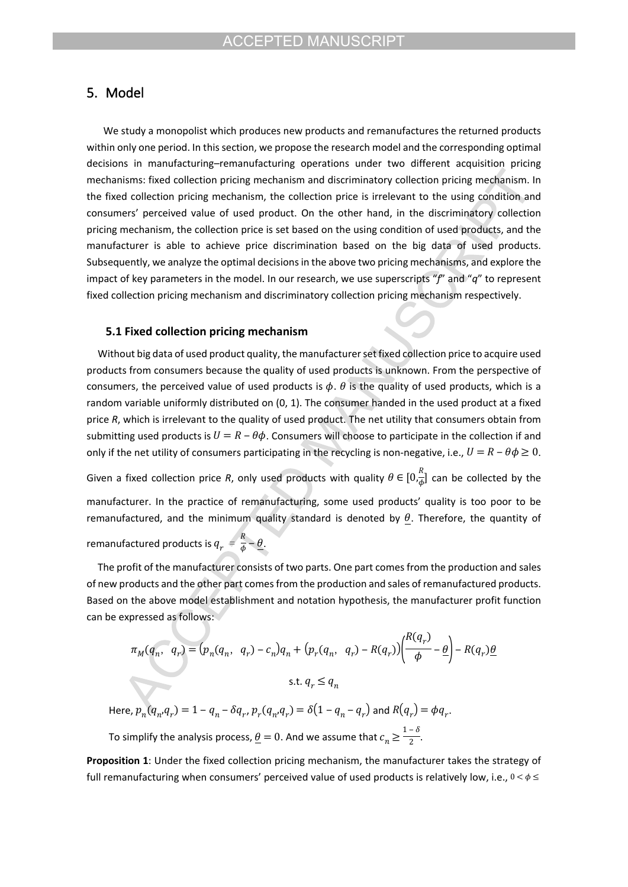# **5. Model**

We study a monopolist which produces new products and remanufactures the returned products within only one period. In this section, we propose the research model and the corresponding optimal decisions in manufacturing–remanufacturing operations under two different acquisition pricing mechanisms: fixed collection pricing mechanism and discriminatory collection pricing mechanism. In the fixed collection pricing mechanism, the collection price is irrelevant to the using condition and consumers' perceived value of used product. On the other hand, in the discriminatory collection pricing mechanism, the collection price is set based on the using condition of used products, and the manufacturer is able to achieve price discrimination based on the big data of used products. Subsequently, we analyze the optimal decisions in the above two pricing mechanisms, and explore the impact of key parameters in the model. In our research, we use superscripts "*f*" and "*q*" to represent fixed collection pricing mechanism and discriminatory collection pricing mechanism respectively.

# **5.1 Fixed collection pricing mechanism**

Without big data of used product quality, the manufacturer set fixed collection price to acquire used products from consumers because the quality of used products is unknown. From the perspective of consumers, the perceived value of used products is  $\phi$ .  $\theta$  is the quality of used products, which is a random variable uniformly distributed on (0, 1). The consumer handed in the used product at a fixed price *R*, which is irrelevant to the quality of used product. The net utility that consumers obtain from submitting used products is  $U = R - \theta \phi$ . Consumers will choose to participate in the collection if and only if the net utility of consumers participating in the recycling is non-negative, i.e.,  $U = R - \theta \phi \ge 0$ . Given a fixed collection price R, only used products with quality  $\theta \in [0, \frac{R}{A}]$  can be collected by the  $\frac{1}{\phi}$ ]

manufacturer. In the practice of remanufacturing, some used products' quality is too poor to be remanufactured, and the minimum quality standard is denoted by  $\theta$ . Therefore, the quantity of

remanufactured products is  $q_{_T}^{\phantom{T}}=\frac{R}{\phi}-\underline{\theta}.$  $\frac{\partial}{\partial \phi} - \frac{\theta}{\phi}$ .

The profit of the manufacturer consists of two parts. One part comes from the production and sales of new products and the other part comes from the production and sales of remanufactured products. Based on the above model establishment and notation hypothesis, the manufacturer profit function can be expressed as follows:

$$
\pi_M(q_n, q_r) = (p_n(q_n, q_r) - c_n)q_n + (p_r(q_n, q_r) - R(q_r))\left(\frac{R(q_r)}{\phi} - \frac{\theta}{r}\right) - R(q_r)\frac{\theta}{r}
$$
  
s.t.  $q_r \le q_n$ 

Here,  $p_n(q_n, q_r) = 1 - q_n - \delta q_r$ ,  $p_r(q_n, q_r) = \delta(1 - q_n - q_r)$  and  $R(q_r) = \phi q_r$ .

To simplify the analysis process,  $\underline{\theta} = 0$ . And we assume that  $c_n \geq \frac{1-\delta}{2}$ . 2

**Proposition 1**: Under the fixed collection pricing mechanism, the manufacturer takes the strategy of full remanufacturing when consumers' perceived value of used products is relatively low, i.e.,  $0 < \phi \le$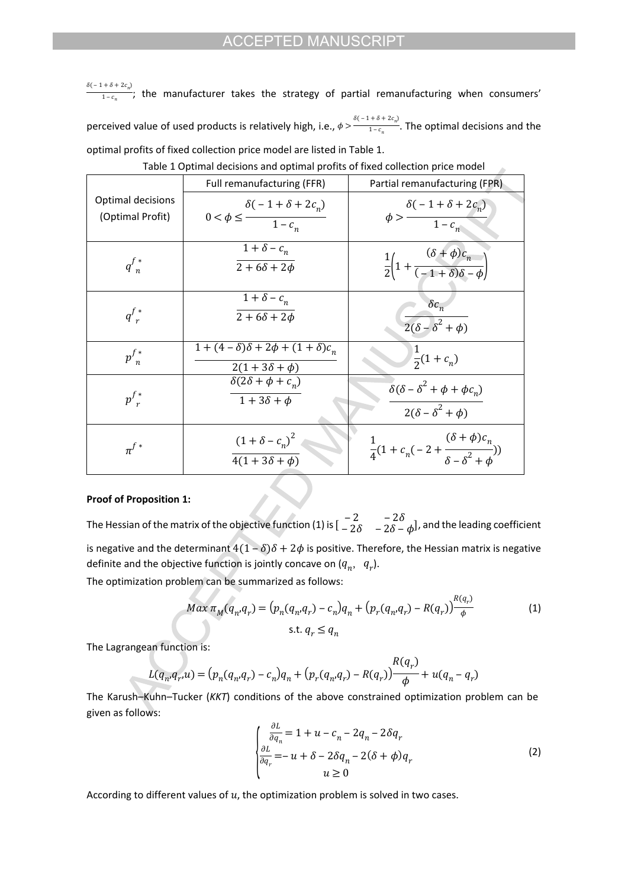$\frac{\delta(-1+\delta+2c_n)}{1-c_n}$ ; the manufacturer takes the strategy of partial remanufacturing when consumers'  $1 - c_n$ perceived value of used products is relatively high, i.e.,  $\phi > \frac{\delta(-1+\delta+2c_n)}{1-c_n}$ . The optimal decisions and the  $1 - c_n$ optimal profits of fixed collection price model are listed in Table 1.

|                                              | Full remanufacturing (FFR)                                                | Partial remanufacturing (FPR)                                                  |
|----------------------------------------------|---------------------------------------------------------------------------|--------------------------------------------------------------------------------|
| <b>Optimal decisions</b><br>(Optimal Profit) | $\delta(-1+\delta+2c_n)$<br>$0 < \phi \leq$ $\frac{1-c_n}{1-c_n}$         | $\phi > \frac{\delta(-1+\delta+2c_n)}{1-c_n}$                                  |
| $q_{n}^{f*}$                                 | $1+\delta-c_n$<br>$2+6\delta+2\phi$                                       | $\frac{1}{2}\left(1+\frac{(\delta+\phi)c_n}{(-1+\delta)\delta-\phi}\right)$    |
| $q_{r}^{f*}$                                 | $1+\delta-c_n$<br>$2+6\delta+2\phi$                                       | $\delta c_n$<br>$\frac{1}{2(\delta-\delta^2+\phi)}$                            |
| $p_{n}^{f*}$                                 | $1 + (4 - \delta)\delta + 2\phi + (1 + \delta)c_n$<br>$2(1+3\delta+\phi)$ | $\frac{1}{2}(1+c_n)$                                                           |
| $p^{f*}_{r}$                                 | $\delta(2\delta + \phi + c_n)$<br>$1+3\delta+\phi$                        | $\delta(\delta - \delta^2 + \phi + \phi c_n)$<br>$2(\delta - \delta^2 + \phi)$ |
| $\pi^{f*}$                                   | $(1+\delta-c_n)^2$<br>$\overline{4(1+3\delta+\phi)}$                      | $\frac{1}{4}(1+c_n(-2+\frac{(\delta+\phi)c_n}{\delta-\delta^2+\phi}))$         |

Table 1 Optimal decisions and optimal profits of fixed collection price model

### **Proof of Proposition 1:**

The Hessian of the matrix of the objective function (1) is  $\begin{bmatrix} -2 & -2\delta \\ -2\delta & -2\delta - \delta \end{bmatrix}$ , and the leading coefficient  $-2\delta - 2\delta - \phi$ ), is negative and the determinant  $4(1 - \delta)\delta + 2\phi$  is positive. Therefore, the Hessian matrix is negative definite and the objective function is jointly concave on  $(q_n, q_r)$ .

The optimization problem can be summarized as follows:

$$
Max \pi_M(q_n, q_r) = (p_n(q_n, q_r) - c_n)q_n + (p_r(q_n, q_r) - R(q_r))\frac{R(q_r)}{\phi}
$$
\n
$$
\text{s.t. } q_r \le q_n \tag{1}
$$

The Lagrangean function is:

$$
L(q_n, q_r, u) = (p_n(q_n, q_r) - c_n)q_n + (p_r(q_n, q_r) - R(q_r))\frac{R(q_r)}{\phi} + u(q_n - q_r)
$$

The Karush–Kuhn–Tucker (*KKT*) conditions of the above constrained optimization problem can be given as follows:

$$
\begin{cases}\n\frac{\partial L}{\partial q_n} = 1 + u - c_n - 2q_n - 2\delta q_r \\
\frac{\partial L}{\partial q_r} = -u + \delta - 2\delta q_n - 2(\delta + \phi)q_r \\
u \ge 0\n\end{cases}
$$
\n(2)

According to different values of  $u$ , the optimization problem is solved in two cases.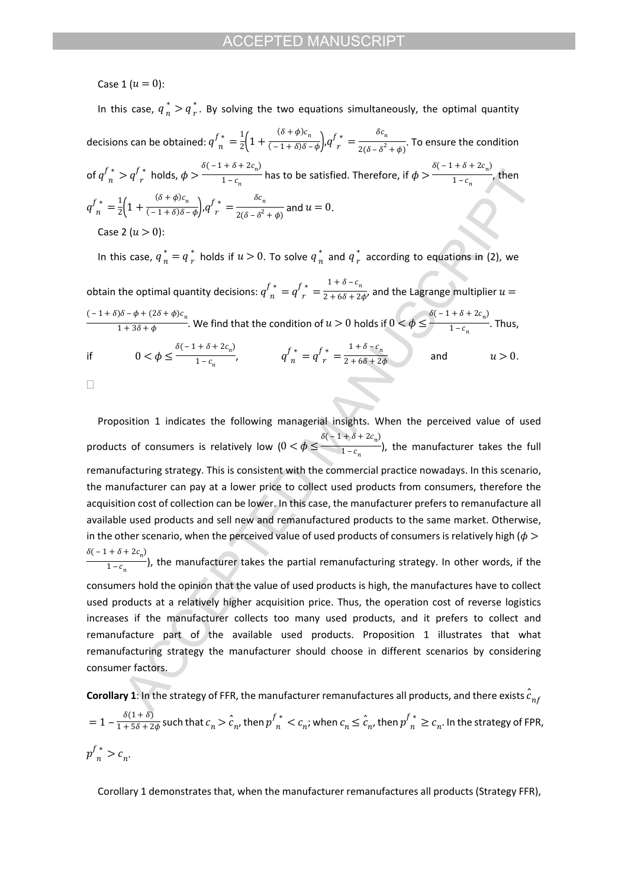Case 1 ( $u = 0$ ):

In this case,  $q_n^* > q_r^*$ . By solving the two equations simultaneously, the optimal quantity  $r$  . decisions can be obtained:  $q_{n}^{f*}=\frac{1}{2}\left(1+\frac{(o+\varphi)c_{n}}{(-1+\delta)\delta-\varphi}\right)\!q_{n}^{f*}=\frac{o c_{n}}{2(\delta-\delta^{2}+\phi)}.$  To ensure the condition  $\frac{(\delta + \phi)c_n}{(-1 + \delta)\delta - \phi}$ ,  $q \frac{f^*}{r} = \frac{\pi}{2}$  $\delta c_n$  $2(\delta - \delta^2 + \phi)^2$ of  $q_{n}^{f*} > q_{r}^{f*}$  holds,  $\phi > \frac{q_{n-1}^{f*}+q_{n-1}^{f*}}{1-c_{n}}$  has to be satisfied. Therefore, if  $\phi > \frac{q_{n-1}^{f*}+q_{n-1}^{f*}}{1-c_{n}}$ , then  $\delta(-1+\delta+2c_n)$  $\frac{1}{1 - c_n}$  has to be satisfied. Therefore, if  $\phi > \delta(-1+\delta+2c_n)$  $1 - c_n$  $q^{f\,*}_{\phantom{f}n}=\frac{1}{2}\Bigl(1+\frac{(\delta+\phi)c_n}{(-1+\delta)\delta-\phi}\Bigr),$   $q^{f\,*}_{\phantom{f}r}=\frac{\delta c_n}{2(\delta-\delta^2+\phi)}$  and  $u=0.$  $\frac{(\delta + \phi)c_n}{(-1 + \delta)\delta - \phi}$ ,  $q \frac{f^*}{r} = \frac{\delta}{2}$  $\delta c_n$  $\frac{1}{2(\delta-\delta^2+\phi)}$  and  $u=0$ . Case 2 ( $u > 0$ ): In this case,  $q_n^* = q_r^*$  holds if  $u > 0$ . To solve  $q_n^*$  and  $q_r^*$  according to equations in (2), we  $\frac{*}{n}$  and  $q\frac{*}{r}$  :

 $r$ obtain the optimal quantity decisions:  $q_{n}^{f*}=q_{r}^{f*}=\frac{1+q-q_{n}}{2+6\delta+2\phi}$ , and the Lagrange multiplier  $1 + \delta - c_n$  $\frac{1}{2+6\delta+2\phi}$ , and the Lagrange multiplier  $u=$ . We find that the condition of  $u > 0$  holds if  $0 < \phi \leq \frac{1}{1-c}$ . Thus,  $(-1+\delta)\delta - \phi + (2\delta + \phi)c_n$  $\frac{1}{1+3\delta+\phi}$ . We find that the condition of  $u>0$  holds if  $0<\phi\leq-\frac{1}{2}$  $\delta(-1+\delta+2c_n)$  $1 - c_n$ if  $0 < \phi \le \frac{\delta(-1+\delta+2c_n)}{1-c}, \qquad q \bigg|_n^4 = q \bigg|_n^4 = \frac{1+\delta-c_n}{2+\delta\delta+2\phi} \qquad \text{and} \qquad u > 0.$  $\frac{1 - c_n}{1 - c_n}$ ,  $q_{n}^{f*} = q_{r}^{f*} = \frac{1}{2}$  $1 + \delta - c_n$  $\frac{1}{2+6\delta+2\phi}$  and  $u>0$ .  $\Box$ 

Proposition 1 indicates the following managerial insights. When the perceived value of used products of consumers is relatively low  $(0 < \phi \leq \frac{1}{1-c}$ ), the manufacturer takes the full  $\delta(-1+\delta+2c_n)$  $1 - c_n$ remanufacturing strategy. This is consistent with the commercial practice nowadays. In this scenario, the manufacturer can pay at a lower price to collect used products from consumers, therefore the acquisition cost of collection can be lower. In this case, the manufacturer prefers to remanufacture all available used products and sell new and remanufactured products to the same market. Otherwise, in the other scenario, when the perceived value of used products of consumers is relatively high ( $\phi$ ) ), the manufacturer takes the partial remanufacturing strategy. In other words, if the  $\delta(-1+\delta+2c_n)$  $1 - c_n$ consumers hold the opinion that the value of used products is high, the manufactures have to collect used products at a relatively higher acquisition price. Thus, the operation cost of reverse logistics increases if the manufacturer collects too many used products, and it prefers to collect and remanufacture part of the available used products. Proposition 1 illustrates that what remanufacturing strategy the manufacturer should choose in different scenarios by considering consumer factors.

**Corollary 1**: In the strategy of FFR, the manufacturer remanufactures all products, and there exists  $\hat{c}_{n}$  $r=1-\frac{\delta(1+\delta)}{1+5\delta+2\phi}$  such that  $c_n>\hat c_n$ , then  $p^{f\,*}_n < c_n$ , when  $c_n\leq \hat c_{n'}$  then  ${p^{f}}^*_n\geq c_n.$  In the strategy of FPR,  $p_{n}^{f*} > c_{n}.$ 

Corollary 1 demonstrates that, when the manufacturer remanufactures all products (Strategy FFR),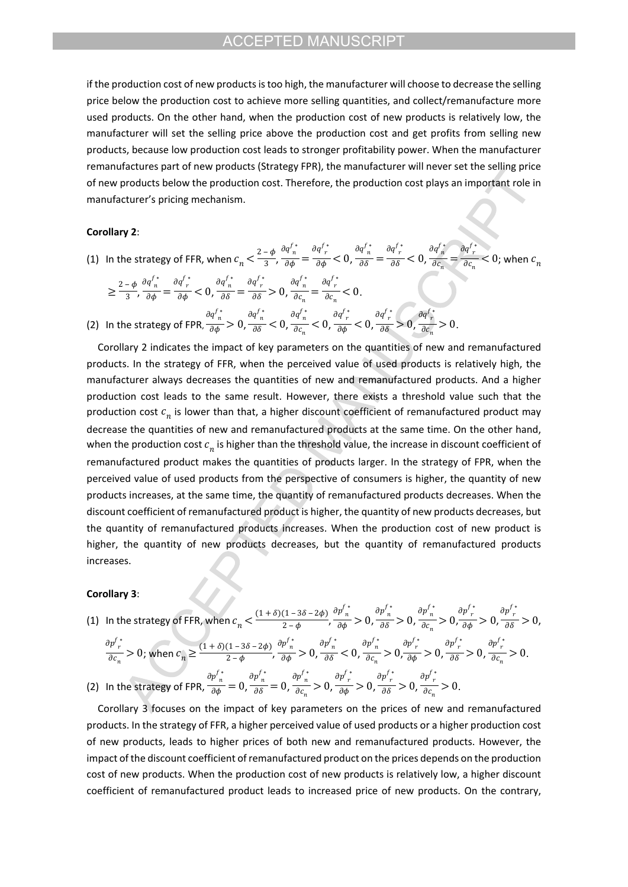if the production cost of new products is too high, the manufacturer will choose to decrease the selling price below the production cost to achieve more selling quantities, and collect/remanufacture more used products. On the other hand, when the production cost of new products is relatively low, the manufacturer will set the selling price above the production cost and get profits from selling new products, because low production cost leads to stronger profitability power. When the manufacturer remanufactures part of new products (Strategy FPR), the manufacturer will never set the selling price of new products below the production cost. Therefore, the production cost plays an important role in manufacturer's pricing mechanism.

#### **Corollary 2**:

(1) In the strategy of FFR, when  $c_n < \frac{2-\phi}{3}$ ,  $\frac{\partial q_n}{\partial \phi} = \frac{\partial q_n}{\partial \phi} < 0$ ,  $\frac{\partial q_n}{\partial \delta} = \frac{\partial q_n}{\partial \delta} < 0$ ,  $\frac{\partial q_n}{\partial c_n} = \frac{\partial q_n}{\partial c_n} < 0$ ; when 3  $\partial q^{f\,*}_{\phantom{f}n}$  $\frac{\pi}{\partial \phi} = \frac{\partial q_{r}^{f*}}{\partial \phi}<0,$  $\partial q^{f\,*}_{\ n}$  $\frac{\pi}{\partial \delta} = \frac{\partial q_{r}^{f*}}{\partial \delta} < 0,$  $\partial q^{f*}_{n}$  $\frac{\partial}{\partial c_n} = \frac{\partial}{\partial c_n}$  $\frac{\partial q_{r}^{f\,*}}{\partial c_{n}}$  < 0; when  $c_{n}$ 

$$
\geq \frac{2-\phi}{3}, \frac{\partial q_{n}^{f*}}{\partial \phi} = \frac{\partial q_{n}^{f*}}{\partial \phi} < 0, \frac{\partial q_{n}^{f*}}{\partial \delta} = \frac{\partial q_{n}^{f*}}{\partial \delta} > 0, \frac{\partial q_{n}^{f*}}{\partial c_{n}} = \frac{\partial q_{n}^{f*}}{\partial c_{n}} < 0.
$$
\n(2) In the strategy of FPR,  $\frac{\partial q_{n}^{f*}}{\partial \phi} > 0, \frac{\partial q_{n}^{f*}}{\partial \delta} < 0, \frac{\partial q_{n}^{f*}}{\partial c_{n}} < 0, \frac{\partial q_{n}^{f*}}{\partial \phi} < 0, \frac{\partial q_{n}^{f*}}{\partial \phi} > 0, \frac{\partial q_{n}^{f*}}{\partial c_{n}} > 0.$ 

Corollary 2 indicates the impact of key parameters on the quantities of new and remanufactured products. In the strategy of FFR, when the perceived value of used products is relatively high, the manufacturer always decreases the quantities of new and remanufactured products. And a higher production cost leads to the same result. However, there exists a threshold value such that the production cost  $c_n$  is lower than that, a higher discount coefficient of remanufactured product may decrease the quantities of new and remanufactured products at the same time. On the other hand, when the production cost  $c_n$  is higher than the threshold value, the increase in discount coefficient of remanufactured product makes the quantities of products larger. In the strategy of FPR, when the perceived value of used products from the perspective of consumers is higher, the quantity of new products increases, at the same time, the quantity of remanufactured products decreases. When the discount coefficient of remanufactured product is higher, the quantity of new products decreases, but the quantity of remanufactured products increases. When the production cost of new product is higher, the quantity of new products decreases, but the quantity of remanufactured products increases.

#### **Corollary 3**:

(1) In the strategy of FFR, when 
$$
c_n < \frac{(1+\delta)(1-3\delta-2\phi)}{2-\phi}
$$
,  $\frac{\partial p_n^f{}^*}{\partial \phi} > 0$ ,  $\frac{\partial p_n^f{}^*}{\partial \delta} > 0$ ,  $\frac{\partial p_n^f{}^*}{\partial c_n} > 0$ ,  $\frac{\partial p_n^f{}^*}{\partial \phi} > 0$ ,  $\frac{\partial p_n^f{}^*}{\partial \delta} > 0$ ,  $\frac{\partial p_n^f{}^*}{\partial \delta} > 0$ ,  $\frac{\partial p_n^f{}^*}{\partial \delta} > 0$ ,  $\frac{\partial p_n^f{}^*}{\partial c_n} > 0$ , where  $c_n \ge \frac{(1+\delta)(1-3\delta-2\phi)}{2-\phi}$ ,  $\frac{\partial p_n^f{}^*}{\partial \phi} > 0$ ,  $\frac{\partial p_n^f{}^*}{\partial \delta} < 0$ ,  $\frac{\partial p_n^f{}^*}{\partial c_n} > 0$ ,  $\frac{\partial p_n^f{}^*}{\partial \phi} > 0$ ,  $\frac{\partial p_n^f{}^*}{\partial \phi} > 0$ ,  $\frac{\partial p_n^f{}^*}{\partial \phi} > 0$ ,  $\frac{\partial p_n^f{}^*}{\partial \phi} > 0$ .  
\n(2) In the strategy of FPR,  $\frac{\partial p_n^f{}^*}{\partial \phi} = 0$ ,  $\frac{\partial p_n^f{}^*}{\partial \delta} = 0$ ,  $\frac{\partial p_n^f{}^*}{\partial c_n} > 0$ ,  $\frac{\partial p_n^f{}^*}{\partial \phi} > 0$ ,  $\frac{\partial p_n^f{}^*}{\partial \delta} > 0$ .

Corollary 3 focuses on the impact of key parameters on the prices of new and remanufactured products. In the strategy of FFR, a higher perceived value of used products or a higher production cost of new products, leads to higher prices of both new and remanufactured products. However, the impact of the discount coefficient of remanufactured product on the prices depends on the production cost of new products. When the production cost of new products is relatively low, a higher discount coefficient of remanufactured product leads to increased price of new products. On the contrary,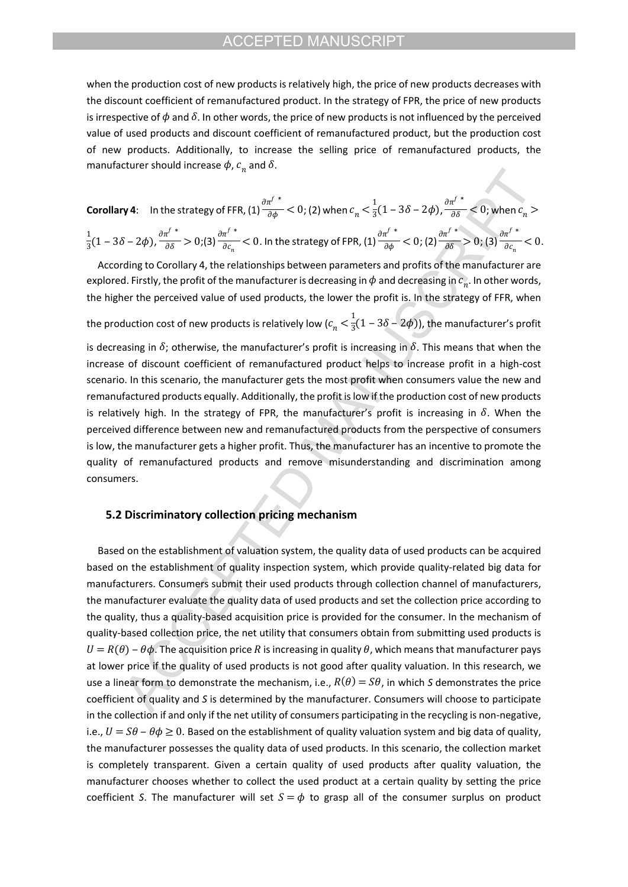when the production cost of new products is relatively high, the price of new products decreases with the discount coefficient of remanufactured product. In the strategy of FPR, the price of new products is irrespective of  $\phi$  and  $\delta$ . In other words, the price of new products is not influenced by the perceived value of used products and discount coefficient of remanufactured product, but the production cost of new products. Additionally, to increase the selling price of remanufactured products, the manufacturer should increase  $\phi$ ,  $c_n^{\phantom{\dag}}$  and  $\delta.$ 

**Corollary 4:** In the strategy of FFR, (1) 
$$
\frac{\partial \pi^{f*}}{\partial \phi} < 0
$$
; (2) when  $c_n < \frac{1}{3}(1 - 3\delta - 2\phi)$ ,  $\frac{\partial \pi^{f*}}{\partial \delta} < 0$ ; when  $c_n > \frac{1}{3}(1 - 3\delta - 2\phi)$ ,  $\frac{\partial \pi^{f*}}{\partial \delta} < 0$ ; when  $c_n > \frac{1}{3}(1 - 3\delta - 2\phi)$ ,  $\frac{\partial \pi^{f*}}{\partial \delta} > 0$ ; (3)  $\frac{\partial \pi^{f*}}{\partial c_n} < 0$ . In the strategy of FPR, (1)  $\frac{\partial \pi^{f*}}{\partial \phi} < 0$ ; (2)  $\frac{\partial \pi^{f*}}{\partial \delta} > 0$ ; (3)  $\frac{\partial \pi^{f*}}{\partial c_n} < 0$ .

According to Corollary 4, the relationships between parameters and profits of the manufacturer are explored. Firstly, the profit of the manufacturer is decreasing in  $\phi$  and decreasing in  $c_n$ . In other words, the higher the perceived value of used products, the lower the profit is. In the strategy of FFR, when the production cost of new products is relatively low ( $c_n^{} < \frac{1}{3}(1-3\delta-2\phi)$ ), the manufacturer's profit  $\frac{1}{3}(1-3\delta-2\phi))$ is decreasing in  $\delta$ ; otherwise, the manufacturer's profit is increasing in  $\delta$ . This means that when the

increase of discount coefficient of remanufactured product helps to increase profit in a high-cost scenario. In this scenario, the manufacturer gets the most profit when consumers value the new and remanufactured products equally. Additionally, the profit is low if the production cost of new products is relatively high. In the strategy of FPR, the manufacturer's profit is increasing in  $\delta$ . When the perceived difference between new and remanufactured products from the perspective of consumers is low, the manufacturer gets a higher profit. Thus, the manufacturer has an incentive to promote the quality of remanufactured products and remove misunderstanding and discrimination among consumers.

# **5.2 Discriminatory collection pricing mechanism**

Based on the establishment of valuation system, the quality data of used products can be acquired based on the establishment of quality inspection system, which provide quality-related big data for manufacturers. Consumers submit their used products through collection channel of manufacturers, the manufacturer evaluate the quality data of used products and set the collection price according to the quality, thus a quality-based acquisition price is provided for the consumer. In the mechanism of quality-based collection price, the net utility that consumers obtain from submitting used products is  $U = R(\theta) - \theta \phi$ . The acquisition price R is increasing in quality  $\theta$ , which means that manufacturer pays at lower price if the quality of used products is not good after quality valuation. In this research, we use a linear form to demonstrate the mechanism, i.e.,  $R(\theta) = S\theta$ , in which S demonstrates the price coefficient of quality and *S* is determined by the manufacturer. Consumers will choose to participate in the collection if and only if the net utility of consumers participating in the recycling is non-negative, i.e.,  $U = S\theta - \theta \phi \ge 0$ . Based on the establishment of quality valuation system and big data of quality, the manufacturer possesses the quality data of used products. In this scenario, the collection market is completely transparent. Given a certain quality of used products after quality valuation, the manufacturer chooses whether to collect the used product at a certain quality by setting the price coefficient *S*. The manufacturer will set  $S = \phi$  to grasp all of the consumer surplus on product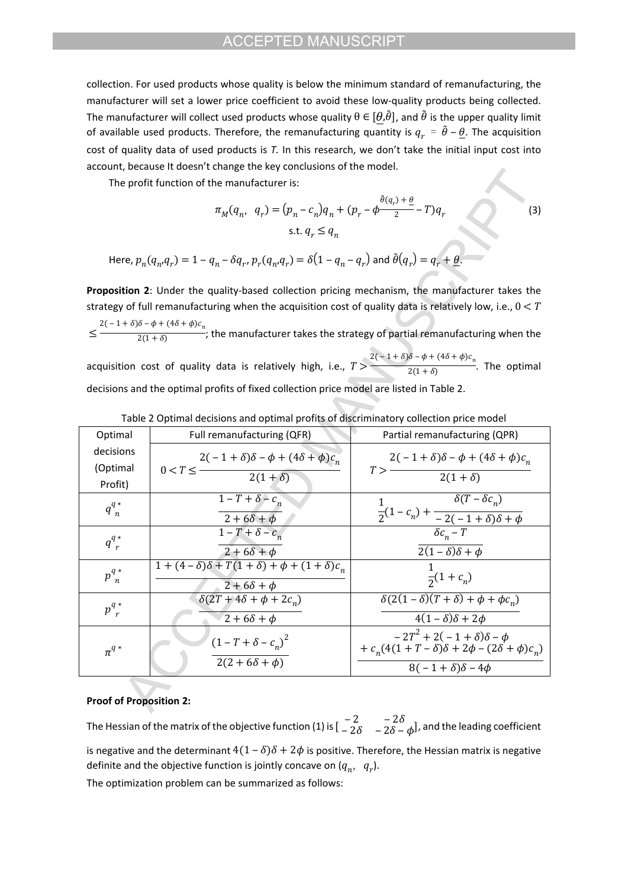collection. For used products whose quality is below the minimum standard of remanufacturing, the manufacturer will set a lower price coefficient to avoid these low-quality products being collected. The manufacturer will collect used products whose quality  $\theta \in [\theta,\tilde{\theta}]$ , and  $\tilde{\theta}$  is the upper quality limit of available used products. Therefore, the remanufacturing quantity is  $q_r = \tilde{\theta} - \theta$ . The acquisition cost of quality data of used products is *T.* In this research, we don't take the initial input cost into account, because It doesn't change the key conclusions of the model.

The profit function of the manufacturer is:

$$
\pi_M(q_n, q_r) = (p_n - c_n)q_n + (p_r - \phi \frac{\theta(q_r) + \theta}{2} - T)q_r
$$
  
s.t.  $q_r \le q_n$  (3)

Here,  $p_n(q_n, q_r) = 1 - q_n - \delta q_r$ ,  $p_r(q_n, q_r) = \delta(1 - q_n - q_r)$  and  $\theta(q_r) = q_r + \theta$ .

**Proposition 2**: Under the quality-based collection pricing mechanism, the manufacturer takes the strategy of full remanufacturing when the acquisition cost of quality data is relatively low, i.e.,  $0 < T$  $\le$   $\frac{1}{2(1+\delta)}$ ; the manufacturer takes the strategy of partial remanufacturing when the  $2(-1+\delta)\delta - \phi + (4\delta + \phi)c_n$  $2(1 + \delta)$  $2(-1+\delta)\delta - \phi + (4\delta + \phi)c_n$ 

acquisition cost of quality data is relatively high, i.e.,  $T > \frac{1}{2(1+\delta)}$ . The optimal  $2(1 + \delta)$ decisions and the optimal profits of fixed collection price model are listed in Table 2.

| Optimal                          | Full remanufacturing (QFR)                                                            | Partial remanufacturing (QPR)                                                                                                 |
|----------------------------------|---------------------------------------------------------------------------------------|-------------------------------------------------------------------------------------------------------------------------------|
| decisions<br>(Optimal<br>Profit) | $2(-1+\delta)\delta - \phi + (4\delta + \phi)c_n$<br>$0 < T \leq -$<br>$2(1+\delta)$  | $2(-1+\delta)\delta - \phi + (4\delta + \phi)c_n$<br>T ><br>$2(1+\delta)$                                                     |
| $q_n^{q*}$                       | $1-T+\delta-c$<br>$2+6\delta+\phi$                                                    | $\delta(T - \delta c_n)$<br>$\overline{2} (1 - c_n) + \frac{\overline{2} (1 - 1 + \delta)}{2(1 + \delta)}$                    |
| $q^{q*}$                         | $1-T+\delta-c_n$<br>$2+6\delta+\phi$                                                  | $\delta c_n - T$<br>$2(1-\delta)\delta+\phi$                                                                                  |
| $p_{n}^{q*}$                     | $1 + (4 - \delta)\delta + T(1 + \delta) + \phi + (1 + \delta)c_n$<br>$2+6\delta+\phi$ | $\overline{2}(1+c_n)$                                                                                                         |
| $p^{q*}_{r}$                     | $\delta(2T+4\delta+\phi+2c_n)$<br>$2+6\delta+\phi$                                    | $\delta(2(1-\delta)(T+\delta)+\phi+\phi c_n)$<br>$4(1-\delta)\delta+2\phi$                                                    |
| $\pi^{q*}$                       | $(1-T+\delta-c_n)^2$<br>$2(2 + 6\delta + \phi)$                                       | $-2T^{2} + 2(-1 + \delta)\delta - \phi$<br>+ $c_n(4(1+T-\delta)\delta+2\phi-(2\delta+\phi)c_n)$<br>$8(-1+\delta)\delta-4\phi$ |

Table 2 Optimal decisions and optimal profits of discriminatory collection price model

### **Proof of Proposition 2:**

The Hessian of the matrix of the objective function (1) is  $\begin{bmatrix} -2 & -2\delta \\ -2\delta & -2\delta - \delta \end{bmatrix}$ , and the leading coefficient  $-2\delta - 2\delta - \phi$ ), is negative and the determinant  $4(1 - \delta)\delta + 2\phi$  is positive. Therefore, the Hessian matrix is negative definite and the objective function is jointly concave on  $(q_n, q_r)$ .

The optimization problem can be summarized as follows: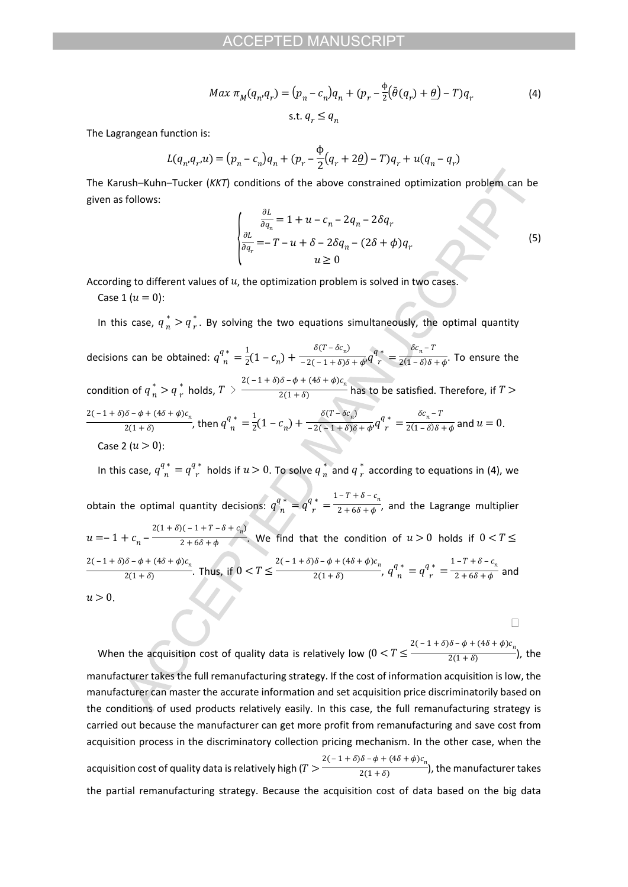$$
Max \pi_M(q_n, q_r) = (p_n - c_n)q_n + (p_r - \frac{\phi}{2}(\tilde{\theta}(q_r) + \underline{\theta}) - T)q_r
$$
  
s.t.  $q_r \le q_n$  (4)

The Lagrangean function is:

$$
L(q_n, q_n, u) = (p_n - c_n)q_n + (p_r - \frac{\phi}{2}(q_r + 2\underline{\theta}) - T)q_r + u(q_n - q_r)
$$

The Karush–Kuhn–Tucker (*KKT*) conditions of the above constrained optimization problem can be given as follows:

$$
\begin{cases}\n\frac{\partial L}{\partial q_n} = 1 + u - c_n - 2q_n - 2\delta q_r \\
\frac{\partial L}{\partial q_r} = -T - u + \delta - 2\delta q_n - (2\delta + \phi)q_r \\
u \ge 0\n\end{cases}
$$
\n(5)

 $\Box$ 

According to different values of  $u$ , the optimization problem is solved in two cases.

Case 1 ( $u = 0$ ):

In this case,  $q_n^* > q_r^*$ . By solving the two equations simultaneously, the optimal quantity  $r$  . decisions can be obtained:  $q^q_{n}^* = \frac{1}{2}(1-c_n) + \frac{\delta(1-\delta c_n)}{-2(-1+\delta)\delta+\phi'}q^q_{r}^* = \frac{\delta c_n - 1}{2(1-\delta)\delta+\phi}$ . To ensure the  $\frac{1}{2}(1-c_n)+\frac{1}{2}$  $\delta(T - \delta c_n)$  $\frac{\partial (1 - \partial c_n)}{-2(-1 + \delta)\delta + \phi'} q_r^q = \frac{1}{2}$  $\delta c_n - T$  $2(1 - \delta)\delta + \phi$ condition of  $q_n^* > q_r^*$  holds,  $T > \frac{2(-1+\delta)\delta - \phi + (4\delta + \phi)c_n}{2(1+\delta)}$  has to be satisfied. Therefore, if  $\frac{1}{2(1+\delta)}$  has to be satisfied. Therefore, if  $T >$ , then  $q_{n}^{q^{*}} = \frac{1}{2}(1-c_{n}) + \frac{1}{2(1-\frac{1}{2})\delta + d^{2}}q_{n}^{q^{*}} = \frac{1}{2(1-\delta)\delta + d^{2}}$  and  $u = 0$ .  $2(-1+\delta)\delta - \phi + (4\delta + \phi)c_n$  $\frac{a_0 - \varphi + (40 + \varphi)c_n}{2(1 + \delta)}$ , then  $q^{q*}$  =  $\frac{1}{2}$ (1  $\frac{1}{2}(1-c_n)+\frac{1}{2}$  $\delta(T - \delta c_n)$  $\frac{b(1 - \theta c_n)}{-2(-1 + \delta)\delta + \phi'}q_r^q = \frac{1}{2}$  $\delta c_n - T$  $\frac{\pi}{2(1-\delta)\delta+\phi}$  and  $u=0$ . Case 2  $(u > 0)$ : In this case,  $q^{q*}_{n} = q^{q*}_{r}$  holds if  $u > 0$ . To solve  $q^{*}_{n}$  and  $q^{*}_{r}$  according to equations in (4), we  $\frac{*}{n}$  and  $q \frac{*}{r}$  a  $r^{\prime}$ obtain the optimal quantity decisions:  $q_n^{\alpha,*} = q_{r}^{\alpha,*} = \frac{1-1+0-c_n}{2+6\delta+\phi}$ , and the Lagrange multiplier  $1 - T + \delta - c_n$  $2 + 6\delta + \phi$ '

 $u=-1+c_n-\frac{1}{2+6\delta+\phi}$ . We find that the condition of  $u>0$  holds if  $2(1 + \delta)(-1 + T - \delta + c_n)$  $\frac{1}{2+6\delta+\phi}$ . We find that the condition of  $u>0$  holds if  $0< T\leq$ . Thus, if  $0 < T \le \frac{q^n}{2(1+\delta)}$ ,  $q^{n*} = q^{n*} = \frac{1}{2+\delta\delta+\delta}$  and  $2(-1+\delta)\delta - \phi + (4\delta + \phi)c_n$  $\frac{1}{2(1+\delta)}$  Thus, if  $0 < T \leq$  $2(-1+\delta)\delta - \phi + (4\delta + \phi)c_n$  $\frac{q^{(0)} - \varphi + (\pi o + \varphi)c_n}{2(1+\delta)}$ ,  $q^{q*}_n = q^{q*}_r = -\frac{1}{\delta}$  $1 - T + \delta - c_n$  $2 + 6\delta + \phi$  $u > 0$ .

When the acquisition cost of quality data is relatively low  $(0 < T \leq \frac{1}{2(1+\delta)}$ , the  $2(-1+\delta)\delta - \phi + (4\delta + \phi)c_{n}$  $2(1 + \delta)$ manufacturer takes the full remanufacturing strategy. If the cost of information acquisition is low, the manufacturer can master the accurate information and set acquisition price discriminatorily based on the conditions of used products relatively easily. In this case, the full remanufacturing strategy is carried out because the manufacturer can get more profit from remanufacturing and save cost from acquisition process in the discriminatory collection pricing mechanism. In the other case, when the acquisition cost of quality data is relatively high ( $T > \frac{1}{2(1+\delta)}$ , the manufacturer takes  $2(-1+\delta)\delta - \phi + (4\delta + \phi)c_{n}$  $2(1 + \delta)$ the partial remanufacturing strategy. Because the acquisition cost of data based on the big data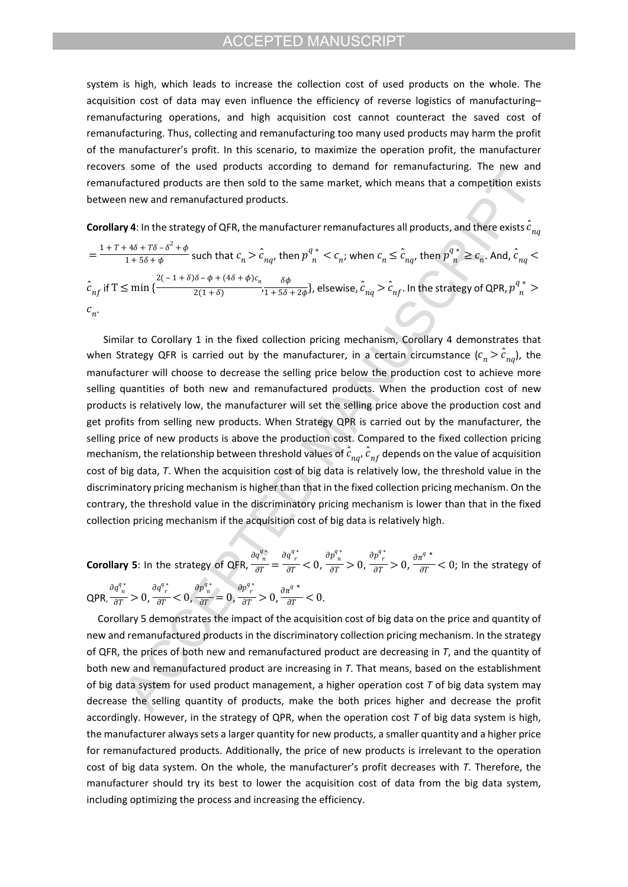system is high, which leads to increase the collection cost of used products on the whole. The acquisition cost of data may even influence the efficiency of reverse logistics of manufacturing– remanufacturing operations, and high acquisition cost cannot counteract the saved cost of remanufacturing. Thus, collecting and remanufacturing too many used products may harm the profit of the manufacturer's profit. In this scenario, to maximize the operation profit, the manufacturer recovers some of the used products according to demand for remanufacturing. The new and remanufactured products are then sold to the same market, which means that a competition exists between new and remanufactured products.

**Corollary 4**: In the strategy of QFR, the manufacturer remanufactures all products, and there exists  $\hat{c}_{n\alpha}$ 

$$
= \frac{1 + T + 4\delta + T\delta - \delta^2 + \phi}{1 + 5\delta + \phi}
$$
 such that  $c_n > \hat{c}_{nq}$ , then  $p_n^q * \langle c_n; c_n \rangle$  when  $c_n \leq \hat{c}_{nq}$ , then  $p_n^q * \geq c_n$ . And,  $\hat{c}_{nq} < \hat{c}_{nq}$  for  $n \leq n$ .  
\n
$$
\hat{c}_{nq}
$$
 if  $T \leq \min\left\{\frac{2(-1+\delta)\delta - \phi + (4\delta + \phi)c_n}{2(1+\delta)} \cdot \frac{\delta\phi}{1 + 5\delta + 2\phi}\right\}$ , elsewhere,  $\hat{c}_{nq} > \hat{c}_{nq}$ . In the strategy of QPR,  $p_n^q * \geq c_n$ .

Similar to Corollary 1 in the fixed collection pricing mechanism, Corollary 4 demonstrates that when Strategy QFR is carried out by the manufacturer, in a certain circumstance  $(c_n > c_{na})$ , the manufacturer will choose to decrease the selling price below the production cost to achieve more selling quantities of both new and remanufactured products. When the production cost of new products is relatively low, the manufacturer will set the selling price above the production cost and get profits from selling new products. When Strategy QPR is carried out by the manufacturer, the selling price of new products is above the production cost. Compared to the fixed collection pricing mechanism, the relationship between threshold values of  $\hat{c}_{nq}$ ,  $\hat{c}_{nf}$  depends on the value of acquisition cost of big data, *T*. When the acquisition cost of big data is relatively low, the threshold value in the discriminatory pricing mechanism is higher than that in the fixed collection pricing mechanism. On the contrary, the threshold value in the discriminatory pricing mechanism is lower than that in the fixed collection pricing mechanism if the acquisition cost of big data is relatively high.

**Corollary 5**: In the strategy of QFR,  $\frac{a}{dT} = \frac{a}{AT} < 0$ ,  $\frac{a}{AT} > 0$ ,  $\frac{a}{AT} > 0$ ,  $\frac{a}{AT} < 0$ ; In the strategy of  $\partial q^{q\,*}_{\ n}$  $\frac{\pi}{\partial T} = \frac{\partial q^{q*}_{r}}{\partial T}<0,$  $\partial p^{q*}_{n}$  $\frac{n}{\partial T} > 0$ ,  $\frac{\partial p^{q*}}{\partial T} > 0, \frac{\partial \pi^{q*}}{\partial T}$  $\frac{\dot{\sigma}}{\partial T}$  < 0; QPR,  $\frac{1}{\sqrt{AT}} > 0$ ,  $\frac{1}{\sqrt{AT}} < 0$ ,  $\frac{1}{\sqrt{AT}} = 0$ ,  $\frac{1}{\sqrt{AT}} > 0$ ,  $\frac{1}{\sqrt{AT}} < 0$ .  $\partial q_{n}^{q*}$  $\frac{\pi}{\partial T} > 0$ ,  $\frac{\partial q^{q*}}{\partial T}<0,$  $\partial p^{q*}_{n}$  $rac{n}{\partial T} = 0$ ,  $\frac{\partial p^{q*}}{\partial T} > 0, \frac{\partial \pi^{q*}}{\partial T}$  $\frac{c}{\partial T}$  < 0

Corollary 5 demonstrates the impact of the acquisition cost of big data on the price and quantity of new and remanufactured products in the discriminatory collection pricing mechanism. In the strategy of QFR, the prices of both new and remanufactured product are decreasing in *T*, and the quantity of both new and remanufactured product are increasing in *T*. That means, based on the establishment of big data system for used product management, a higher operation cost *T* of big data system may decrease the selling quantity of products, make the both prices higher and decrease the profit accordingly. However, in the strategy of QPR, when the operation cost *T* of big data system is high, the manufacturer always sets a larger quantity for new products, a smaller quantity and a higher price for remanufactured products. Additionally, the price of new products is irrelevant to the operation cost of big data system. On the whole, the manufacturer's profit decreases with *T*. Therefore, the manufacturer should try its best to lower the acquisition cost of data from the big data system, including optimizing the process and increasing the efficiency.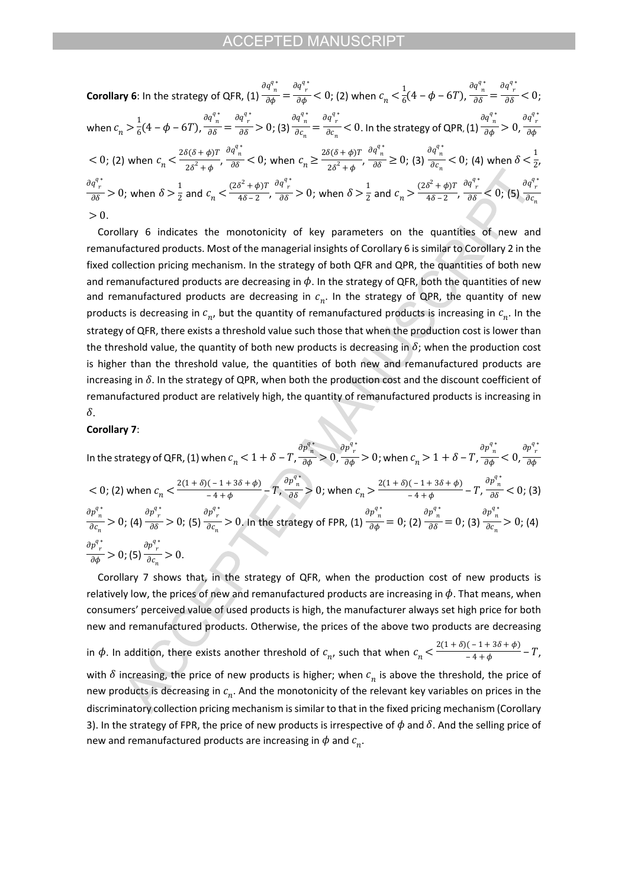Corollary 6: In the strategy of QFR, (1) 
$$
\frac{\partial q_n^{q*}}{\partial \phi} = \frac{\partial q_n^{q*}}{\partial \phi} < 0
$$
; (2) when  $c_n < \frac{1}{6}(4 - \phi - 6T)$ ,  $\frac{\partial q_n^{q*}}{\partial \delta} = \frac{\partial q_n^{q*}}{\partial \delta} < 0$ ;  
\nwhen  $c_n > \frac{1}{6}(4 - \phi - 6T)$ ,  $\frac{\partial q_n^{q*}}{\partial \delta} = \frac{\partial q_n^{q*}}{\partial \delta} > 0$ ; (3)  $\frac{\partial q_n^{q*}}{\partial c_n} = \frac{\partial q_n^{q*}}{\partial c_n} < 0$ . In the strategy of QPR, (1)  $\frac{\partial q_n^{q*}}{\partial \phi} > 0$ ,  $\frac{\partial q_n^{q*}}{\partial \phi} < 0$ ; (2) when  $c_n < \frac{2\delta(\delta + \phi)T}{2\delta^2 + \phi}$ ,  $\frac{\partial q_n^{q*}}{\partial \delta} < 0$ ; when  $c_n \ge \frac{2\delta(\delta + \phi)T}{2\delta^2 + \phi}$ ,  $\frac{\partial q_n^{q*}}{\partial \delta} \ge 0$ ; (3)  $\frac{\partial q_n^{q*}}{\partial c_n} < 0$ ; (4) when  $\delta < \frac{1}{2}$ ,  
\n $\frac{\partial q_n^{q*}}{\partial \delta} > 0$ ; when  $\delta > \frac{1}{2}$  and  $c_n < \frac{(2\delta^2 + \phi)T}{4\delta - 2}$ ,  $\frac{\partial q_n^{q*}}{\partial \delta} > 0$ ; when  $\delta > \frac{1}{2}$  and  $c_n > \frac{(2\delta^2 + \phi)T}{4\delta - 2}$ ,  $\frac{\partial q_n^{q*}}{\partial \delta} < 0$ ; (5)  $\frac{\partial q_n^{q*}}{\partial c_n} > 0$ .  
\n $0$ .

Corollary 6 indicates the monotonicity of key parameters on the quantities of new and remanufactured products. Most of the managerial insights of Corollary 6 is similar to Corollary 2 in the fixed collection pricing mechanism. In the strategy of both QFR and QPR, the quantities of both new and remanufactured products are decreasing in  $\phi$ . In the strategy of QFR, both the quantities of new and remanufactured products are decreasing in  $c_n$ . In the strategy of QPR, the quantity of new products is decreasing in  $c_{n'}$  but the quantity of remanufactured products is increasing in  $c_{n}$ . In the strategy of QFR, there exists a threshold value such those that when the production cost is lower than the threshold value, the quantity of both new products is decreasing in  $\delta$ ; when the production cost is higher than the threshold value, the quantities of both new and remanufactured products are increasing in  $\delta$ . In the strategy of QPR, when both the production cost and the discount coefficient of remanufactured product are relatively high, the quantity of remanufactured products is increasing in  $\delta$ .

#### **Corollary 7**:

In the strategy of QFR, (1) when  $c_n < 1 + \delta - T$ ,  $\frac{1}{\partial \phi} > 0$ ,  $\frac{1}{\partial \phi} > 0$ ; when  $c_n > 1 + \delta - T$ ,  $\frac{1}{\partial \phi} < 0$ ,  $\partial p^{q\,*}_{~~n}$  $\frac{\pi}{\partial \phi} > 0$ ,  $\frac{\partial p^{q}_{\;r}}{\partial \phi}$   $>$  0; when  $c_n$   $>$   $1$  +  $\delta$  –  $T$ ,  $\frac{\delta}{\delta}$  $\partial p^{q\,*}_{~~n}$  $\frac{\pi}{\partial \phi}$  < 0,  $\partial p^{q\,*}_{~~r}$  $\partial$ φ  $<$  0; (2) when  $c_n < \frac{2(1+\delta)(-1+3\delta+\phi)}{-4+\phi} - T$ ,  $\frac{\partial p_n}{\partial \delta} > 0$ ; when  $c_n > \frac{2(1+\delta)(-1+3\delta+\phi)}{-4+\phi} - T$ ,  $\frac{\partial p_n}{\partial \delta} < 0$ ; (3)  $\frac{(-1+3s+4)}{-4+4}$  – T,  $\partial p^{q*}_{n}$  $\frac{p_n}{\partial \delta}$  > 0; when  $c_n > \frac{2(1+\delta)(-1+3\delta+\phi)}{-4+\phi}$ .  $\frac{(-1+88+4)}{-4+4}$  – T,  $\partial p^{q\,*}_{~~n}$  $\frac{\pi}{\partial \delta}$  < 0; ; (4)  $\frac{1}{\sqrt{36}} > 0$ ; (5)  $\frac{1}{\sqrt{36}} > 0$ . In the strategy of FPR, (1)  $\frac{1}{\sqrt{36}} = 0$ ; (2)  $\frac{1}{\sqrt{36}} = 0$ ; (3)  $\frac{1}{\sqrt{36}} > 0$ ; (4)  $\partial p^{q*}_{n}$  $\frac{n}{\partial c_n} > 0;$  $\frac{\partial p^{q*}}{\partial \delta} > 0;$  $\frac{\partial p^{q*}}{\partial c_n} > 0.$  $\partial p^{q\,*}_{~~n}$  $\frac{\partial}{\partial \phi} = 0;$  $\partial p^{q\,*}_{~~n}$  $\frac{\partial}{\partial \delta} = 0;$  $\partial p^{q*}_{n}$  $\frac{n}{\partial c_n} > 0;$ ; (5)  $\frac{ }{ }$   $\frac{ }{ }$   $\geq 0$ .  $\frac{\partial p^{q*}}{\partial \phi}$  > 0;  $\frac{\partial p^{q*}}{\partial c_n} > 0.$ 

 Corollary 7 shows that, in the strategy of QFR, when the production cost of new products is relatively low, the prices of new and remanufactured products are increasing in  $\phi$ . That means, when consumers' perceived value of used products is high, the manufacturer always set high price for both new and remanufactured products. Otherwise, the prices of the above two products are decreasing in  $\phi$ . In addition, there exists another threshold of  $c_n$ , such that when  $c_n < \frac{2(1+\delta)(-1+3\delta+\phi)}{-4+\phi} - T$ ,  $\frac{(1+50+4)}{-4+4}$  – T, with  $\delta$  increasing, the price of new products is higher; when  $c_n$  is above the threshold, the price of new products is decreasing in  $c_n$ . And the monotonicity of the relevant key variables on prices in the discriminatory collection pricing mechanism is similar to that in the fixed pricing mechanism (Corollary 3). In the strategy of FPR, the price of new products is irrespective of  $\phi$  and  $\delta$ . And the selling price of new and remanufactured products are increasing in  $\phi$  and  $c_n$ .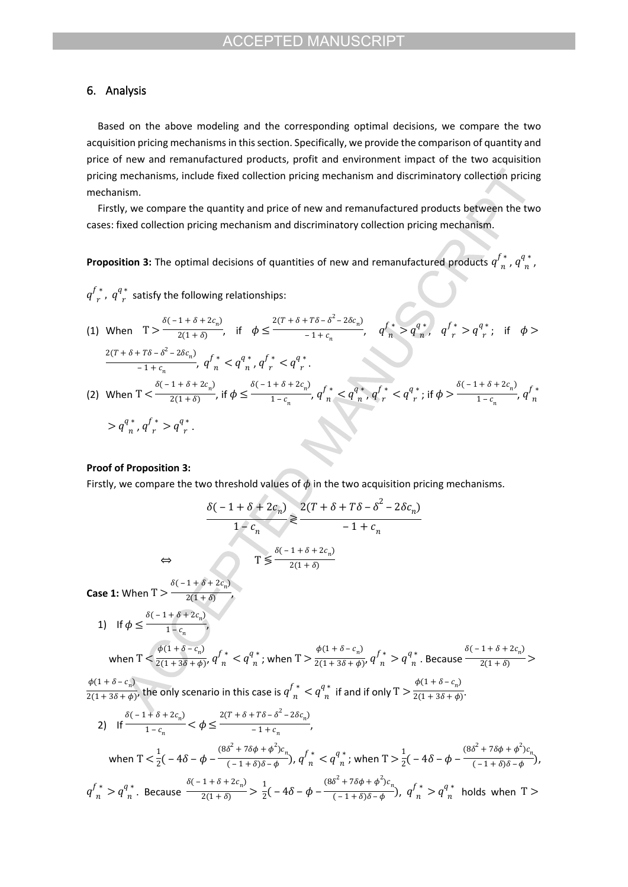# **6. Analysis**

Based on the above modeling and the corresponding optimal decisions, we compare the two acquisition pricing mechanisms in this section. Specifically, we provide the comparison of quantity and price of new and remanufactured products, profit and environment impact of the two acquisition pricing mechanisms, include fixed collection pricing mechanism and discriminatory collection pricing mechanism.

Firstly, we compare the quantity and price of new and remanufactured products between the two cases: fixed collection pricing mechanism and discriminatory collection pricing mechanism.

**Proposition 3:** The optimal decisions of quantities of new and remanufactured products  $q^{f *}_{n}$ ,  $q^{q *}_{n}$ ,  $n,$ 

 ${q^f}_r^*$  ,  ${q^q}_r^*$  satisfy the following relationships:  $\mathbf{r}$ 

(1) When 
$$
T > \frac{\delta(-1+\delta+2c_n)}{2(1+\delta)}
$$
, if  $\phi \le \frac{2(T+\delta+T\delta-\delta^2-2\delta c_n)}{-1+c_n}$ ,  $q^f = q^a$ ,  $q^f = q^a$ ; if  $\phi > \frac{2(T+\delta+T\delta-\delta^2-2\delta c_n)}{-1+c_n}$ ,  $q^f = q^a$ ,  $q^f = q^a$ .  
\n(2) When  $T < \frac{\delta(-1+\delta+2c_n)}{2(1+\delta)}$ , if  $\phi \le \frac{\delta(-1+\delta+2c_n)}{1-c_n}$ ,  $q^f = q^a$ ,  $q^f = q^a$ ,  $q^f = q^a$ ; if  $\phi > \frac{\delta(-1+\delta+2c_n)}{1-c_n}$ ,  $q^f = q^a$ ,  $q^f = q^a$ .

### **Proof of Proposition 3:**

Firstly, we compare the two threshold values of  $\phi$  in the two acquisition pricing mechanisms.

$$
\frac{\delta(-1+\delta+2c_n)}{1-c_n} \ge \frac{2(T+\delta+T\delta-\delta^2-2\delta c_n)}{-1+c_n}
$$
  

$$
\Leftrightarrow T \le \frac{\delta(-1+\delta+2c_n)}{2(1+\delta)}
$$

**Case 1:** When  $T > \frac{1}{2(1 + \delta)}$ ,  $\delta(-1+\delta+2c_n)$  $2(1 + \delta)$ 

1) If 
$$
\phi \le \frac{\delta(-1+\delta+2c_n)}{1-c_n}
$$
,  
when  $T < \frac{\phi(1+\delta-c_n)}{2(1+3\delta+\phi)}$ ,  $q^{f*}$  <  $q^{q*}$ ; when  $T > \frac{\phi(1+\delta-c_n)}{2(1+3\delta+\phi)}$ ,  $q^{f*}$   $q^{q*}$ . Because  $\frac{\delta(-1+\delta+2c_n)}{2(1+\delta)} >$ 

, the only scenario in this case is  $q'_{n}$   $\tilde{q}$  are  $q''_{n}$  if and if only  $T > \frac{1}{2(1+3\delta+\phi)}$ .  $\frac{\phi(1+\delta-c_n)}{2(1+3\delta+\phi)}$ , the only scenario in this case is  $q_{n}^{f*} < q_{n}^{q*}$  if and if only  $T > \frac{q}{2}$  $\phi(1 + \delta - c_n)$  $2(1+3\delta+\phi)$ .

2) If 
$$
\frac{\delta(-1+\delta+2c_n)}{1-c_n} < \phi \le \frac{2(T+\delta+T\delta-\delta^2-2\delta c_n)}{-1+c_n}
$$
,  
\nwhen  $T < \frac{1}{2}(-4\delta - \phi - \frac{(8\delta^2+7\delta\phi+\phi^2)c_n}{(-1+\delta)\delta-\phi}), q^f_{n}^* < q^q_{n}$ ; when  $T > \frac{1}{2}(-4\delta - \phi - \frac{(8\delta^2+7\delta\phi+\phi^2)c_n}{(-1+\delta)\delta-\phi})$ ,  
\n $q^{f*} > q^{q*}$ . Because  $\frac{\delta(-1+\delta+2c_n)}{2(1+\delta)} > \frac{1}{2}(-4\delta - \phi - \frac{(8\delta^2+7\delta\phi+\phi^2)c_n}{(-1+\delta)\delta-\phi}), q^{f*} > q^{q*}$  holds when  $T >$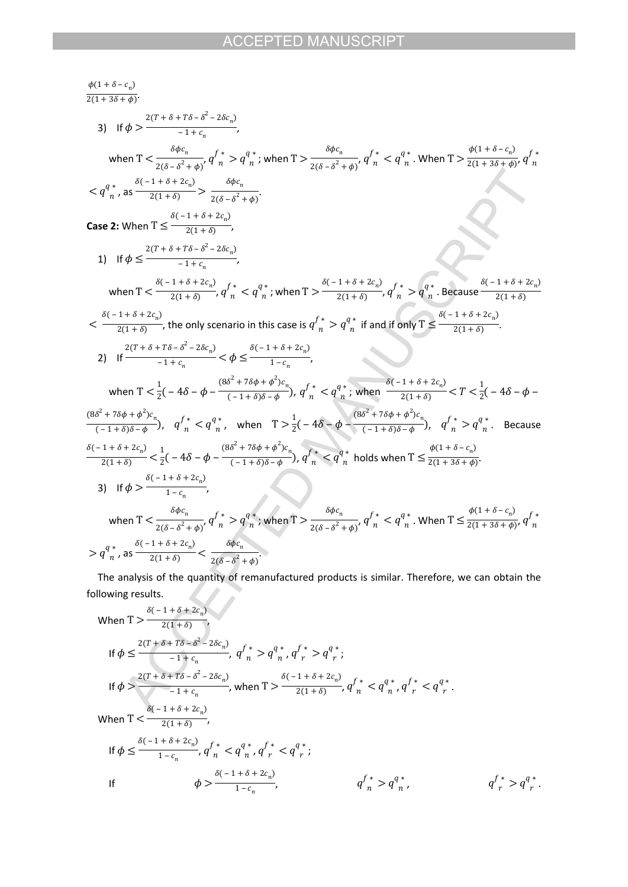$$
\frac{\phi(1+\delta-c_n)}{2(1+3\delta+\phi)},
$$
\n3) If  $\phi > \frac{2(T+\delta+T\delta-\delta^2-2\delta c_n)}{-1+c_n},$   
\nwhen  $T < \frac{\delta\phi c_n}{2(\delta-\delta^2+\phi)}, q'_{n} > q_{n}^{a}$ ; when  $T > \frac{\delta\phi c_n}{2(\delta-\delta^2+\phi)}, q''_{n} < q_{n}^{a}$ . When  $T > \frac{\phi(1+\delta-c_n)}{2(1+3\delta+\phi)}, q'_{n} < q_{n}^{a}$ , as  $\frac{6(-1+\delta+2c_n)}{2(1+\delta)-1} > \frac{\delta\phi c_n}{2(\delta-\delta^2+\phi)}.$   
\nCase 2: When  $T \le \frac{\delta(-1+\delta+2c_n)}{-1+c_n},$   
\n $1)$  If  $\phi \le \frac{2(T+\delta+T\delta-\delta^2-2\delta c_n)}{-1+c_n},$   
\nwhen  $T < \frac{\delta(-1+\delta+2c_n)}{2(1+\delta)}, q'_{n} < q^{a}$ ; when  $T > \frac{\delta(-1+\delta+2c_n)}{2(1+\delta)}, q''_{n} > q^{a}$ . Because  $\frac{\delta(-1+\delta+2c_n)}{2(1+\delta)}$ .  
\n $\le \frac{\delta(-1+\delta+2c_n)}{2(1+\delta)}$ , the only scenario in this case is  $q^{f*}_{n} > q^{a}$  if and if only  $T \le \frac{\delta(-1+\delta+2c_n)}{2(1+\delta)}$ .  
\n2) If  $\frac{2(T+\delta+T\delta-\delta^2-2\delta c_n)}{-1+c_n} < \phi \le \frac{\delta(-1+\delta+2c_n)}{1-c_n},$   
\nwhen  $T < \frac{1}{2}(-4\delta-\phi-\frac{(8\delta^2+7\delta\phi+\phi^2)c_n}{(-1+\delta)\delta-\phi}, q''_{n} < q^{a}$ ; when  $\frac{\delta(-1+\delta+2c_n)}{2(1+\delta)} < T < \frac{1}{2}(-4\delta-\phi-\frac{(8\delta^2+7\delta\phi+\phi^2)c_n}{(-1+\delta)\delta-\phi}), q''_{n} < q^{a}$ , when  $T > \frac{1}{2}(-4\delta-\phi-\frac{(8\delta^2+7\delta\phi+\phi^2)c_n}{(-1+\delta)\delta-\phi}, q''_{$ 

The analysis of the quantity of remanufactured products is similar. Therefore, we can obtain the pollowing results. following results.

When 
$$
T > \frac{\delta(-1+\delta+2c_n)}{2(1+\delta)}
$$
,  
\nIf  $\phi \le \frac{2(T+\delta+T\delta-\delta^2-2\delta c_n)}{-1+c_n}$ ,  $q^f{}_n^* > q^q{}_n^*, q^f{}_r^* > q^q{}_r^*$ ;  
\nIf  $\phi > \frac{2(T+\delta+T\delta-\delta^2-2\delta c_n)}{-1+c_n}$ , when  $T > \frac{\delta(-1+\delta+2c_n)}{2(1+\delta)}$ ,  $q^f{}_n^* < q^q{}_n^*, q^f{}_r^* < q^q{}_r^*$ .  
\nWhen  $T < \frac{\delta(-1+\delta+2c_n)}{2(1+\delta)}$ ,  
\nIf  $\phi \le \frac{\delta(-1+\delta+2c_n)}{1-c_n}$ ,  $q^f{}_n^* < q^q{}_n^*, q^f{}_r^* < q^q{}_r^*$ ;  
\nIf  $\phi > \frac{\delta(-1+\delta+2c_n)}{1-c_n}$ ,  $q^f{}_n^* > q^q{}_n^*$ ,  $q^f{}_n^* > q^q{}_n^*$ ,  $q^f{}_r^* > q^q{}_r^*$ .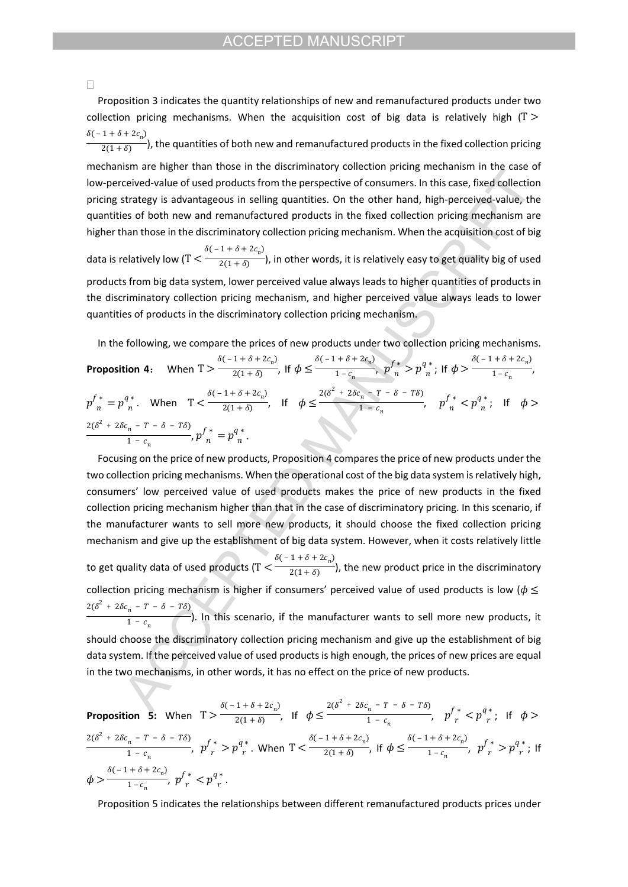#### $\Box$

 Proposition 3 indicates the quantity relationships of new and remanufactured products under two collection pricing mechanisms. When the acquisition cost of big data is relatively high ( $T >$ ), the quantities of both new and remanufactured products in the fixed collection pricing  $\delta(-1+\delta+2c_n)$  $2(1 + \delta)$ mechanism are higher than those in the discriminatory collection pricing mechanism in the case of low-perceived-value of used products from the perspective of consumers. In this case, fixed collection pricing strategy is advantageous in selling quantities. On the other hand, high-perceived-value, the quantities of both new and remanufactured products in the fixed collection pricing mechanism are higher than those in the discriminatory collection pricing mechanism. When the acquisition cost of big data is relatively low (T  $\leq$   $\frac{1}{2(1+\delta)}$ ), in other words, it is relatively easy to get quality big of used  $\delta(-1+\delta+2c_n)$  $2(1 + \delta)$ products from big data system, lower perceived value always leads to higher quantities of products in the discriminatory collection pricing mechanism, and higher perceived value always leads to lower quantities of products in the discriminatory collection pricing mechanism.

In the following, we compare the prices of new products under two collection pricing mechanisms.

**Proposition 4:** When  $T > \frac{\delta(-1+\delta+2c_n)}{2(1+\delta)}$ , If  $\phi \le \frac{\delta(-1+\delta+2c_n)}{1-c_n}$ ,  $p^{f*} > p^{q*}_{n}$ ; If  $\phi > \frac{\delta(-1+\delta+2c_n)}{1-c_n}$ ,  $\frac{1}{2(1+\delta)}$ , If  $\phi \leq \delta(-1+\delta+2c_n)$  $\frac{1 - c_n}{1 - c_n}$ ,  $p \frac{f^*}{n} > p \frac{q^*}{n}$ ; If  $\phi > \delta(-1+\delta+2c_n)$  $1 - c_n$  $p_{n}^{f*}=p_{n}^{q*}$ . When  $T<\frac{p_{0}-p_{1}^{f*}-p_{2}^{f*}}{2(1+\delta)}$ , If  $\phi\leq\frac{p_{0}-p_{2}^{f*}-p_{1}^{f*}-p_{1}^{f*}}{1-\epsilon_{n}}, p_{n}^{f*}; If$  $\delta(-1+\delta+2c_n)$  $\frac{\pi}{2(1+\delta)}$ , If  $\phi \leq 2(\delta^2 + 2\delta c_n - T - \delta - T\delta)$  $\frac{1}{1 - c_n}$ ,  $p_n^{f*} < p_n^{q*}$ ; If  $\phi >$ ,  $p'_{n}^* = p_{n}^*$ .  $2(\delta^2 + 2\delta c_n - T - \delta - T\delta)$  $\frac{1}{1 - c_n}$ ,  $p_{n}^{f*} = p_{n}^{q*}$ .  $\mathfrak n$  .

Focusing on the price of new products, Proposition 4 compares the price of new products under the two collection pricing mechanisms. When the operational cost of the big data system is relatively high, consumers' low perceived value of used products makes the price of new products in the fixed collection pricing mechanism higher than that in the case of discriminatory pricing. In this scenario, if the manufacturer wants to sell more new products, it should choose the fixed collection pricing mechanism and give up the establishment of big data system. However, when it costs relatively little to get quality data of used products ( $T < \frac{1}{2(1+\delta)}$ ), the new product price in the discriminatory  $\delta(-1+\delta+2c_n)$  $2(1 + \delta)$ collection pricing mechanism is higher if consumers' perceived value of used products is low ( $\phi \leq$ ). In this scenario, if the manufacturer wants to sell more new products, it  $2(\delta^2 + 2\delta c_n - T - \delta - T\delta)$  $1 - c_n$ should choose the discriminatory collection pricing mechanism and give up the establishment of big data system. If the perceived value of used products is high enough, the prices of new prices are equal in the two mechanisms, in other words, it has no effect on the price of new products.

**Proposition 5:** When 
$$
T > \frac{\delta(-1+\delta+2c_n)}{2(1+\delta)}
$$
, If  $\phi \le \frac{2(\delta^2 + 2\delta c_n - T - \delta - T\delta)}{1 - c_n}$ ,  $p_r^f * < p_{r}^{q*}$ ; If  $\phi > \frac{2(\delta^2 + 2\delta c_n - T - \delta - T\delta)}{1 - c_n}$ ,  $p_r^f * > p_{r}^{q*}$ . When  $T < \frac{\delta(-1+\delta+2c_n)}{2(1+\delta)}$ , If  $\phi \le \frac{\delta(-1+\delta+2c_n)}{1 - c_n}$ ,  $p_r^f * > p_{r}^{q*}$ ; If  $\phi > \frac{\delta(-1+\delta+2c_n)}{1 - c_n}$ ,  $p_{r}^f * < p_{r}^{q*}$ .

Proposition 5 indicates the relationships between different remanufactured products prices under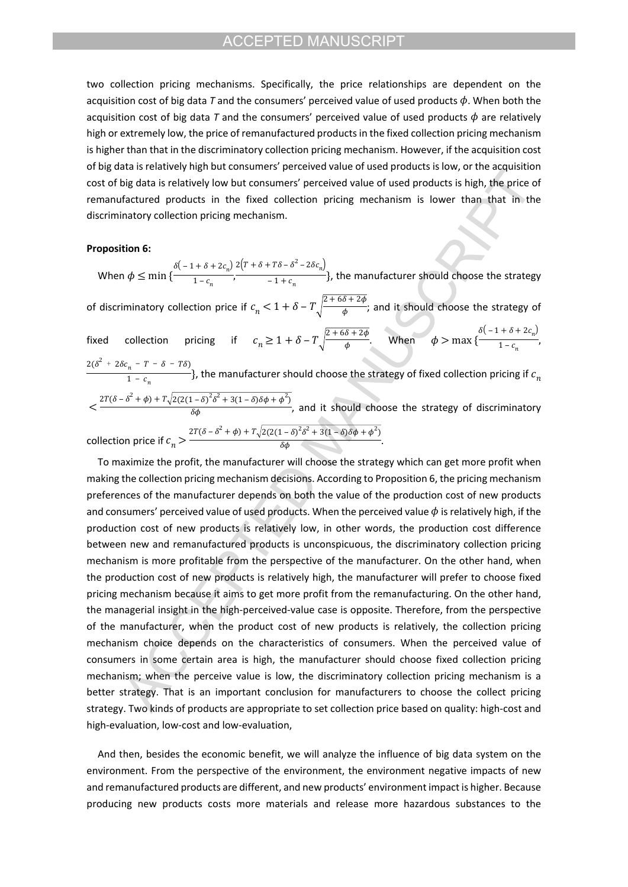two collection pricing mechanisms. Specifically, the price relationships are dependent on the acquisition cost of big data  $T$  and the consumers' perceived value of used products  $\phi$ . When both the acquisition cost of big data *T* and the consumers' perceived value of used products  $\phi$  are relatively high or extremely low, the price of remanufactured products in the fixed collection pricing mechanism is higher than that in the discriminatory collection pricing mechanism. However, if the acquisition cost of big data is relatively high but consumers' perceived value of used products is low, or the acquisition cost of big data is relatively low but consumers' perceived value of used products is high, the price of remanufactured products in the fixed collection pricing mechanism is lower than that in the discriminatory collection pricing mechanism.

### **Proposition 6:**

When  $\phi \leq \min \{\frac{m}{1-c}, \frac{m}{1+c}, \frac{m}{1+c}\}$ , the manufacturer should choose the strategy  $\delta(-1+\delta+2c_n)$  2  $\frac{n}{1-c_n}$  $2(T + \delta + T\delta - \delta^2 - 2\delta c_n)$  $\frac{1}{-1+c_n}$ , of discriminatory collection price if  $c_n < 1 + \delta - T\sqrt{\frac{2+6\delta+2\phi}{\phi}};$  and it should choose the strategy of  $\phi$ fixed collection pricing if  $c_n \geq 1 + \delta - T \sqrt{\frac{2 + 6\delta + 2\phi}{\phi}}$ . When  $\frac{\partial}{\partial \phi}$  When  $\phi > \max \{ \delta(-1+\delta+2c_n)$  $\frac{n}{1-c_n}$ , , the manufacturer should choose the strategy of fixed collection pricing if  $2(\delta^2 + 2\delta c_n - T - \delta - T\delta)$  $\frac{1}{1 - c_n}$  }, the manufacturer should choose the strategy of fixed collection pricing if  $c_n$  $\lt \frac{1}{\delta \phi}$  ,  $\frac{1}{\delta \phi}$  and it should choose the strategy of discriminatory  $2T(\delta - \delta^2 + \phi) + T\sqrt{2(2(1 - \delta)^2 \delta^2 + 3(1 - \delta)\delta\phi + \phi^2)}$  $\delta \phi$ collection price if  $c_n > \frac{c_n}{\delta \phi}$ .  $2T(\delta - \delta^2 + \phi) + T\sqrt{2(2(1 - \delta)^2 \delta^2 + 3(1 - \delta)\delta\phi + \phi^2)}$  $\delta \phi$ 

To maximize the profit, the manufacturer will choose the strategy which can get more profit when making the collection pricing mechanism decisions. According to Proposition 6, the pricing mechanism preferences of the manufacturer depends on both the value of the production cost of new products and consumers' perceived value of used products. When the perceived value  $\phi$  is relatively high, if the production cost of new products is relatively low, in other words, the production cost difference between new and remanufactured products is unconspicuous, the discriminatory collection pricing mechanism is more profitable from the perspective of the manufacturer. On the other hand, when the production cost of new products is relatively high, the manufacturer will prefer to choose fixed pricing mechanism because it aims to get more profit from the remanufacturing. On the other hand, the managerial insight in the high-perceived-value case is opposite. Therefore, from the perspective of the manufacturer, when the product cost of new products is relatively, the collection pricing mechanism choice depends on the characteristics of consumers. When the perceived value of consumers in some certain area is high, the manufacturer should choose fixed collection pricing mechanism; when the perceive value is low, the discriminatory collection pricing mechanism is a better strategy. That is an important conclusion for manufacturers to choose the collect pricing strategy. Two kinds of products are appropriate to set collection price based on quality: high-cost and high-evaluation, low-cost and low-evaluation,

And then, besides the economic benefit, we will analyze the influence of big data system on the environment. From the perspective of the environment, the environment negative impacts of new and remanufactured products are different, and new products' environment impact is higher. Because producing new products costs more materials and release more hazardous substances to the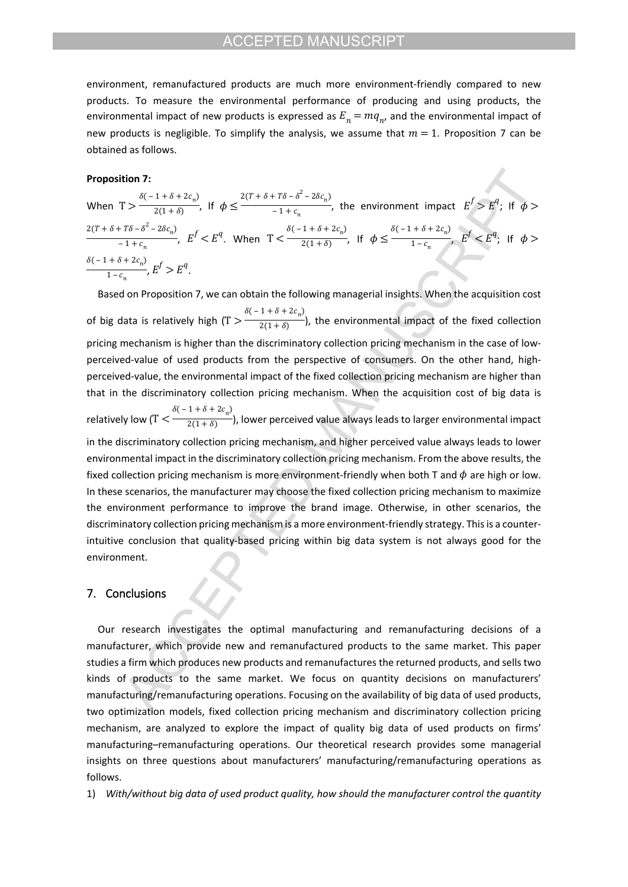environment, remanufactured products are much more environment-friendly compared to new products. To measure the environmental performance of producing and using products, the environmental impact of new products is expressed as  $E_n = mq_n$ , and the environmental impact of new products is negligible. To simplify the analysis, we assume that  $m = 1$ . Proposition 7 can be obtained as follows.

### **Proposition 7:**

When  $T > \frac{1}{2(1+\delta)}$ , If  $\phi \leq \frac{1}{1+\delta}$ , the environment impact  $E' > E^4$ ; If  $\delta(-1+\delta+2c_n)$  $\frac{1}{2(1+\delta)}$ , If  $\phi \leq 2(T + \delta + T\delta - \delta^2 - 2\delta c_n)$  $\frac{110-6-20c_n}{1+c_n}$ , the environment impact  $E^f > E^q$ ; If  $\phi >$ ,  $E' < E^q$ . When  $T < \frac{1}{2(1+\delta)}$ , if  $\phi \leq \frac{1}{1-\epsilon}$ ,  $E' < E^q$ ; if  $2(T + \delta + T\delta - \delta^2 - 2\delta c_n)$  $-\frac{1+\tau\delta-\delta^2-2\delta c_n}{1+c_n}$ ,  $E^f < E^q$ . When  $T < \frac{\delta(-1+\delta+2c_n)}{2(1+\delta)},$  $\frac{1}{2(1+\delta)}$ , If  $\phi \leq \delta(-1+\delta+2c_n)$  $\frac{1 - c_n}{1 - c_n}$ ,  $E^f < E^q$ ; If  $\phi >$ ,  $E' > E^4$ .  $\delta(-1+\delta+2c_n)$  $\frac{1 - c_n}{1 - c_n}, E^f > E^q.$ 

Based on Proposition 7, we can obtain the following managerial insights. When the acquisition cost of big data is relatively high  $(T > \frac{1}{2(1 + \delta)})$ , the environmental impact of the fixed collection  $\delta(-1+\delta+2c_n)$  $2(1 + \delta)$ pricing mechanism is higher than the discriminatory collection pricing mechanism in the case of lowperceived-value of used products from the perspective of consumers. On the other hand, highperceived-value, the environmental impact of the fixed collection pricing mechanism are higher than that in the discriminatory collection pricing mechanism. When the acquisition cost of big data is relatively low (T  $\leq$   $\frac{1}{2(1+\delta)}$ ), lower perceived value always leads to larger environmental impact  $\delta(-1+\delta+2c_n)$  $2(1 + \delta)$ in the discriminatory collection pricing mechanism, and higher perceived value always leads to lower environmental impact in the discriminatory collection pricing mechanism. From the above results, the fixed collection pricing mechanism is more environment-friendly when both T and  $\phi$  are high or low. In these scenarios, the manufacturer may choose the fixed collection pricing mechanism to maximize the environment performance to improve the brand image. Otherwise, in other scenarios, the discriminatory collection pricing mechanism is a more environment-friendly strategy. This is a counterintuitive conclusion that quality-based pricing within big data system is not always good for the environment.

### **7. Conclusions**

Our research investigates the optimal manufacturing and remanufacturing decisions of a manufacturer, which provide new and remanufactured products to the same market. This paper studies a firm which produces new products and remanufactures the returned products, and sells two kinds of products to the same market. We focus on quantity decisions on manufacturers' manufacturing/remanufacturing operations. Focusing on the availability of big data of used products, two optimization models, fixed collection pricing mechanism and discriminatory collection pricing mechanism, are analyzed to explore the impact of quality big data of used products on firms' manufacturing–remanufacturing operations. Our theoretical research provides some managerial insights on three questions about manufacturers' manufacturing/remanufacturing operations as follows.

1) *With/without big data of used product quality, how should the manufacturer control the quantity*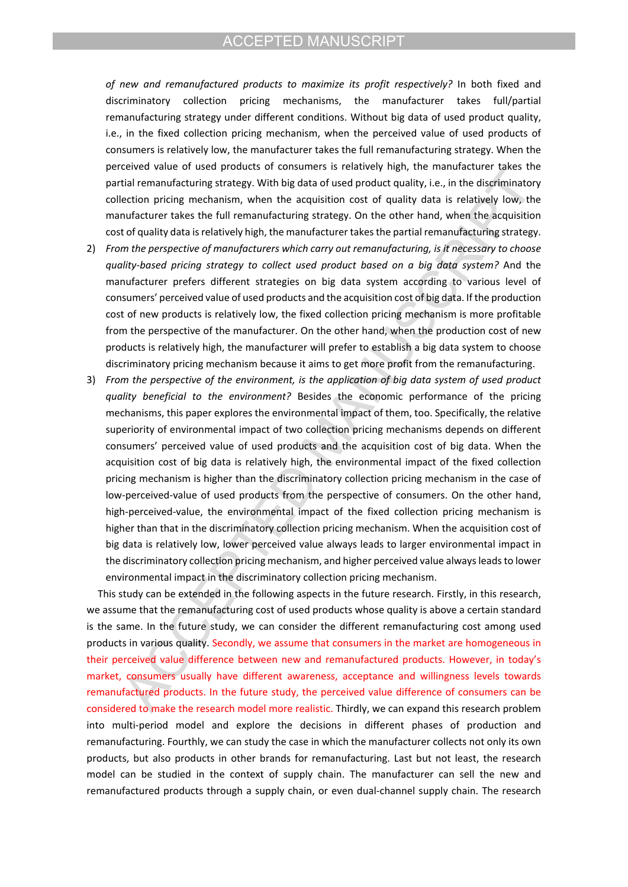*of new and remanufactured products to maximize its profit respectively?* In both fixed and discriminatory collection pricing mechanisms, the manufacturer takes full/partial remanufacturing strategy under different conditions. Without big data of used product quality, i.e., in the fixed collection pricing mechanism, when the perceived value of used products of consumers is relatively low, the manufacturer takes the full remanufacturing strategy. When the perceived value of used products of consumers is relatively high, the manufacturer takes the partial remanufacturing strategy. With big data of used product quality, i.e., in the discriminatory collection pricing mechanism, when the acquisition cost of quality data is relatively low, the manufacturer takes the full remanufacturing strategy. On the other hand, when the acquisition cost of quality data is relatively high, the manufacturer takes the partial remanufacturing strategy.

- 2) *From the perspective of manufacturers which carry out remanufacturing, is it necessary to choose quality-based pricing strategy to collect used product based on a big data system?* And the manufacturer prefers different strategies on big data system according to various level of consumers' perceived value of used products and the acquisition cost of big data. If the production cost of new products is relatively low, the fixed collection pricing mechanism is more profitable from the perspective of the manufacturer. On the other hand, when the production cost of new products is relatively high, the manufacturer will prefer to establish a big data system to choose discriminatory pricing mechanism because it aims to get more profit from the remanufacturing.
- 3) *From the perspective of the environment, is the application of big data system of used product quality beneficial to the environment?* Besides the economic performance of the pricing mechanisms, this paper explores the environmental impact of them, too. Specifically, the relative superiority of environmental impact of two collection pricing mechanisms depends on different consumers' perceived value of used products and the acquisition cost of big data. When the acquisition cost of big data is relatively high, the environmental impact of the fixed collection pricing mechanism is higher than the discriminatory collection pricing mechanism in the case of low-perceived-value of used products from the perspective of consumers. On the other hand, high-perceived-value, the environmental impact of the fixed collection pricing mechanism is higher than that in the discriminatory collection pricing mechanism. When the acquisition cost of big data is relatively low, lower perceived value always leads to larger environmental impact in the discriminatory collection pricing mechanism, and higher perceived value always leads to lower environmental impact in the discriminatory collection pricing mechanism.

This study can be extended in the following aspects in the future research. Firstly, in this research, we assume that the remanufacturing cost of used products whose quality is above a certain standard is the same. In the future study, we can consider the different remanufacturing cost among used products in various quality. Secondly, we assume that consumers in the market are homogeneous in their perceived value difference between new and remanufactured products. However, in today's market, consumers usually have different awareness, acceptance and willingness levels towards remanufactured products. In the future study, the perceived value difference of consumers can be considered to make the research model more realistic. Thirdly, we can expand this research problem into multi-period model and explore the decisions in different phases of production and remanufacturing. Fourthly, we can study the case in which the manufacturer collects not only its own products, but also products in other brands for remanufacturing. Last but not least, the research model can be studied in the context of supply chain. The manufacturer can sell the new and remanufactured products through a supply chain, or even dual-channel supply chain. The research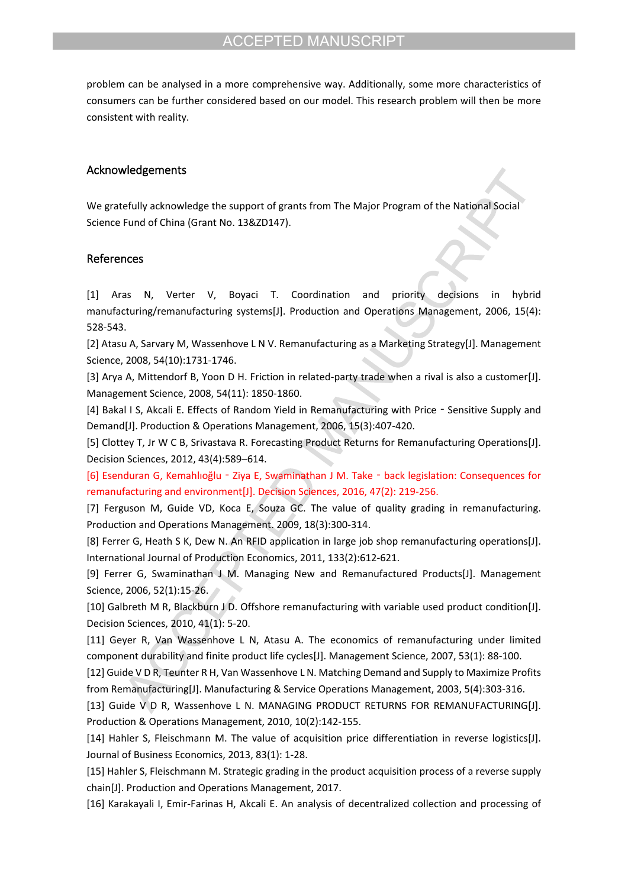problem can be analysed in a more comprehensive way. Additionally, some more characteristics of consumers can be further considered based on our model. This research problem will then be more consistent with reality.

# **Acknowledgements**

We gratefully acknowledge the support of grants from The Major Program of the National Social Science Fund of China (Grant No. 13&ZD147).

### **References**

[1] Aras N, Verter V, Boyaci T. Coordination and priority decisions in hybrid manufacturing/remanufacturing systems[J]. Production and Operations Management, 2006, 15(4): 528-543.

[2] Atasu A, Sarvary M, Wassenhove L N V. Remanufacturing as a Marketing Strategy[J]. Management Science, 2008, 54(10):1731-1746.

[3] Arya A, Mittendorf B, Yoon D H. Friction in related-party trade when a rival is also a customer[J]. Management Science, 2008, 54(11): 1850-1860.

[4] Bakal I S, Akcali E. Effects of Random Yield in Remanufacturing with Price - Sensitive Supply and Demand[J]. Production & Operations Management, 2006, 15(3):407-420.

[5] Clottey T, Jr W C B, Srivastava R. Forecasting Product Returns for Remanufacturing Operations[J]. Decision Sciences, 2012, 43(4):589–614.

[6] Esenduran G, Kemahlıoğlu‐Ziya E, Swaminathan J M. Take‐back legislation: Consequences for remanufacturing and environment[J]. Decision Sciences, 2016, 47(2): 219-256.

[7] Ferguson M, Guide VD, Koca E, Souza GC. The value of quality grading in remanufacturing. Production and Operations Management. 2009, 18(3):300-314.

[8] Ferrer G, Heath S K, Dew N. An RFID application in large job shop remanufacturing operations[J]. International Journal of Production Economics, 2011, 133(2):612-621.

[9] Ferrer G, Swaminathan J M. Managing New and Remanufactured Products[J]. Management Science, 2006, 52(1):15-26.

[10] Galbreth M R, Blackburn J D. Offshore remanufacturing with variable used product condition[J]. Decision Sciences, 2010, 41(1): 5-20.

[11] Geyer R, Van Wassenhove L N, Atasu A. The economics of remanufacturing under limited component durability and finite product life cycles[J]. Management Science, 2007, 53(1): 88-100.

[12] Guide V D R, Teunter R H, Van Wassenhove L N. Matching Demand and Supply to Maximize Profits from Remanufacturing[J]. Manufacturing & Service Operations Management, 2003, 5(4):303-316.

[13] Guide V D R, Wassenhove L N. MANAGING PRODUCT RETURNS FOR REMANUFACTURING[J]. Production & Operations Management, 2010, 10(2):142-155.

[14] Hahler S, Fleischmann M. The value of acquisition price differentiation in reverse logistics[J]. Journal of Business Economics, 2013, 83(1): 1-28.

[15] Hahler S, Fleischmann M. Strategic grading in the product acquisition process of a reverse supply chain[J]. Production and Operations Management, 2017.

[16] Karakayali I, Emir-Farinas H, Akcali E. An analysis of decentralized collection and processing of